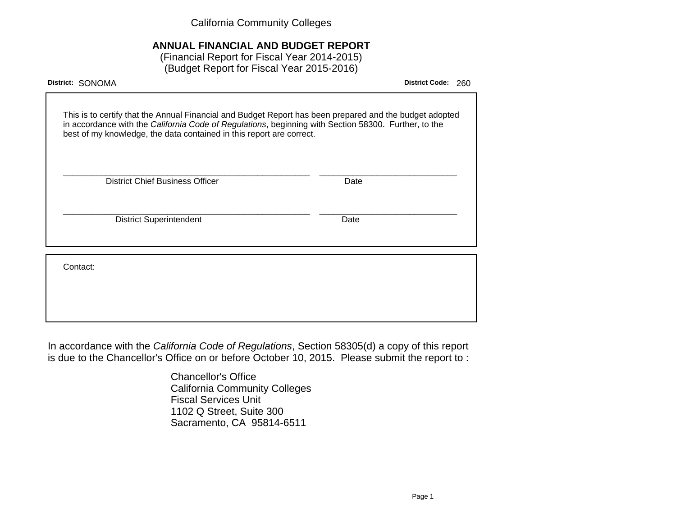California Community Colleges

# **ANNUAL FINANCIAL AND BUDGET REPORT**

(Financial Report for Fiscal Year 2014-2015) (Budget Report for Fiscal Year 2015-2016)

| District: SONOMA                                                                                                                                                                                                                                                                        | <b>District Code:</b> | 260 |
|-----------------------------------------------------------------------------------------------------------------------------------------------------------------------------------------------------------------------------------------------------------------------------------------|-----------------------|-----|
| This is to certify that the Annual Financial and Budget Report has been prepared and the budget adopted<br>in accordance with the California Code of Regulations, beginning with Section 58300. Further, to the<br>best of my knowledge, the data contained in this report are correct. |                       |     |
| <b>District Chief Business Officer</b><br>Date                                                                                                                                                                                                                                          |                       |     |
| <b>District Superintendent</b><br>Date                                                                                                                                                                                                                                                  |                       |     |
| Contact:                                                                                                                                                                                                                                                                                |                       |     |
|                                                                                                                                                                                                                                                                                         |                       |     |

In accordance with the California Code of Regulations, Section 58305(d) a copy of this report is due to the Chancellor's Office on or before October 10, 2015. Please submit the report to :

> Chancellor's Office California Community Colleges Fiscal Services Unit 1102 Q Street, Suite 300 Sacramento, CA 95814-6511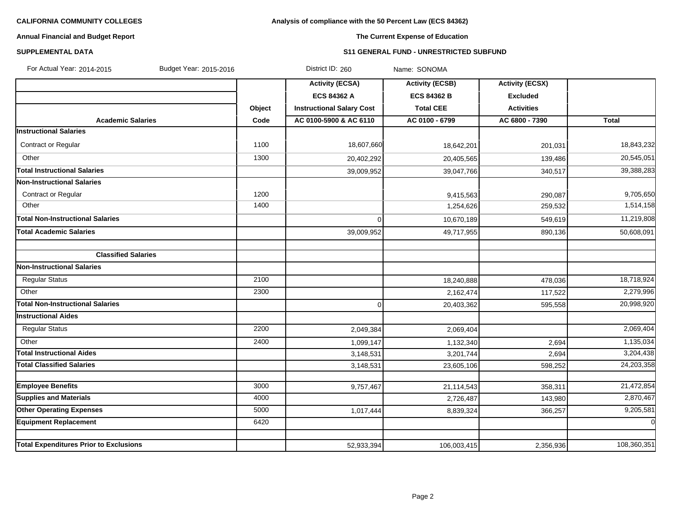# **Analysis of compliance with the 50 Percent Law (ECS 84362)**

# **Annual Financial and Budget Report**

# **The Current Expense of Education**

### **SUPPLEMENTAL DATA S11 GENERAL FUND - UNRESTRICTED SUBFUND**

| For Actual Year: 2014-2015<br>Budget Year: 2015-2016 |        | District ID: 260                 | Name: SONOMA           |                        |                |
|------------------------------------------------------|--------|----------------------------------|------------------------|------------------------|----------------|
|                                                      |        | <b>Activity (ECSA)</b>           | <b>Activity (ECSB)</b> | <b>Activity (ECSX)</b> |                |
|                                                      |        | <b>ECS 84362 A</b>               | <b>ECS 84362 B</b>     | <b>Excluded</b>        |                |
|                                                      | Object | <b>Instructional Salary Cost</b> | <b>Total CEE</b>       | <b>Activities</b>      |                |
| <b>Academic Salaries</b>                             | Code   | AC 0100-5900 & AC 6110           | AC 0100 - 6799         | AC 6800 - 7390         | Total          |
| <b>Instructional Salaries</b>                        |        |                                  |                        |                        |                |
| Contract or Regular                                  | 1100   | 18,607,660                       | 18,642,201             | 201,031                | 18,843,232     |
| Other                                                | 1300   | 20,402,292                       | 20,405,565             | 139,486                | 20,545,051     |
| <b>Total Instructional Salaries</b>                  |        | 39,009,952                       | 39,047,766             | 340,517                | 39,388,283     |
| <b>Non-Instructional Salaries</b>                    |        |                                  |                        |                        |                |
| Contract or Regular                                  | 1200   |                                  | 9,415,563              | 290,087                | 9,705,650      |
| Other                                                | 1400   |                                  | 1,254,626              | 259,532                | 1,514,158      |
| <b>Total Non-Instructional Salaries</b>              |        | 0                                | 10,670,189             | 549,619                | 11,219,808     |
| <b>Total Academic Salaries</b>                       |        | 39,009,952                       | 49,717,955             | 890,136                | 50,608,091     |
|                                                      |        |                                  |                        |                        |                |
| <b>Classified Salaries</b>                           |        |                                  |                        |                        |                |
| <b>Non-Instructional Salaries</b>                    |        |                                  |                        |                        |                |
| <b>Regular Status</b>                                | 2100   |                                  | 18,240,888             | 478,036                | 18,718,924     |
| Other                                                | 2300   |                                  | 2,162,474              | 117,522                | 2,279,996      |
| <b>Total Non-Instructional Salaries</b>              |        | 0                                | 20,403,362             | 595,558                | 20,998,920     |
| <b>Instructional Aides</b>                           |        |                                  |                        |                        |                |
| <b>Regular Status</b>                                | 2200   | 2,049,384                        | 2,069,404              |                        | 2,069,404      |
| Other                                                | 2400   | 1,099,147                        | 1,132,340              | 2,694                  | 1,135,034      |
| <b>Total Instructional Aides</b>                     |        | 3,148,531                        | 3,201,744              | 2,694                  | 3,204,438      |
| <b>Total Classified Salaries</b>                     |        | 3,148,531                        | 23,605,106             | 598,252                | 24,203,358     |
|                                                      |        |                                  |                        |                        |                |
| <b>Employee Benefits</b>                             | 3000   | 9,757,467                        | 21,114,543             | 358,311                | 21,472,854     |
| <b>Supplies and Materials</b>                        | 4000   |                                  | 2,726,487              | 143,980                | 2,870,467      |
| <b>Other Operating Expenses</b>                      | 5000   | 1,017,444                        | 8,839,324              | 366,257                | 9,205,581      |
| <b>Equipment Replacement</b>                         | 6420   |                                  |                        |                        | $\overline{0}$ |
| <b>Total Expenditures Prior to Exclusions</b>        |        | 52,933,394                       | 106,003,415            | 2,356,936              | 108,360,351    |
|                                                      |        |                                  |                        |                        |                |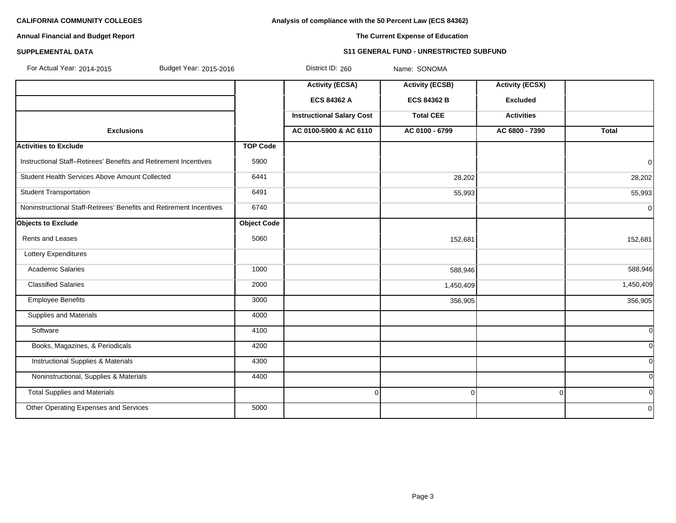**Analysis of compliance with the 50 Percent Law (ECS 84362)**

# **Annual Financial and Budget Report**

# **The Current Expense of Education**

# **SUPPLEMENTAL DATA S11 GENERAL FUND - UNRESTRICTED SUBFUND**

| For Actual Year: 2014-2015<br>Budget Year: 2015-2016                |                    | District ID: 260                 | Name: SONOMA           |                        |                |
|---------------------------------------------------------------------|--------------------|----------------------------------|------------------------|------------------------|----------------|
|                                                                     |                    | <b>Activity (ECSA)</b>           | <b>Activity (ECSB)</b> | <b>Activity (ECSX)</b> |                |
|                                                                     |                    | <b>ECS 84362 A</b>               | <b>ECS 84362 B</b>     | <b>Excluded</b>        |                |
|                                                                     |                    | <b>Instructional Salary Cost</b> | <b>Total CEE</b>       | <b>Activities</b>      |                |
| <b>Exclusions</b>                                                   |                    | AC 0100-5900 & AC 6110           | AC 0100 - 6799         | AC 6800 - 7390         | <b>Total</b>   |
| <b>Activities to Exclude</b>                                        | <b>TOP Code</b>    |                                  |                        |                        |                |
| Instructional Staff-Retirees' Benefits and Retirement Incentives    | 5900               |                                  |                        |                        | $\overline{0}$ |
| Student Health Services Above Amount Collected                      | 6441               |                                  | 28,202                 |                        | 28,202         |
| <b>Student Transportation</b>                                       | 6491               |                                  | 55,993                 |                        | 55,993         |
| Noninstructional Staff-Retirees' Benefits and Retirement Incentives | 6740               |                                  |                        |                        | $\overline{0}$ |
| <b>Objects to Exclude</b>                                           | <b>Object Code</b> |                                  |                        |                        |                |
| Rents and Leases                                                    | 5060               |                                  | 152,681                |                        | 152,681        |
| Lottery Expenditures                                                |                    |                                  |                        |                        |                |
| <b>Academic Salaries</b>                                            | 1000               |                                  | 588,946                |                        | 588,946        |
| <b>Classified Salaries</b>                                          | 2000               |                                  | 1,450,409              |                        | 1,450,409      |
| <b>Employee Benefits</b>                                            | 3000               |                                  | 356,905                |                        | 356,905        |
| <b>Supplies and Materials</b>                                       | 4000               |                                  |                        |                        |                |
| Software                                                            | 4100               |                                  |                        |                        | $\mathbf 0$    |
| Books, Magazines, & Periodicals                                     | 4200               |                                  |                        |                        | $\overline{0}$ |
| <b>Instructional Supplies &amp; Materials</b>                       | 4300               |                                  |                        |                        | $\mathbf 0$    |
| Noninstructional, Supplies & Materials                              | 4400               |                                  |                        |                        | $\mathbf 0$    |
| <b>Total Supplies and Materials</b>                                 |                    | $\Omega$                         | $\Omega$               | $\Omega$               | $\overline{0}$ |
| Other Operating Expenses and Services                               | 5000               |                                  |                        |                        | $\overline{0}$ |
|                                                                     |                    |                                  |                        |                        |                |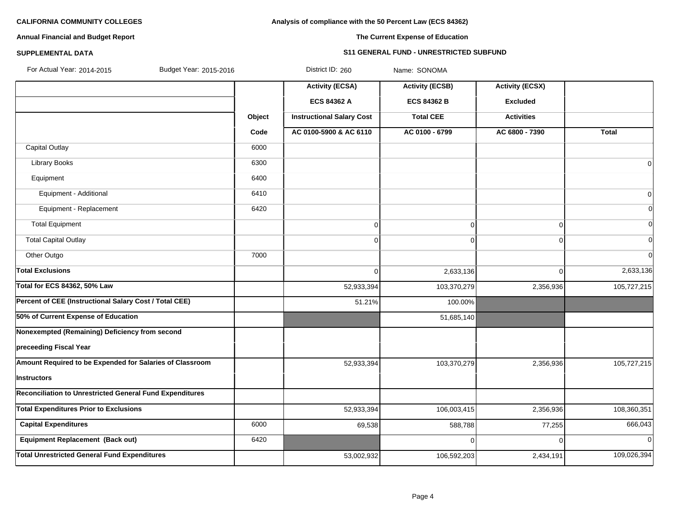# **Analysis of compliance with the 50 Percent Law (ECS 84362)**

# **Annual Financial and Budget Report**

# **The Current Expense of Education**

### **SUPPLEMENTAL DATA S11 GENERAL FUND - UNRESTRICTED SUBFUND**

| For Actual Year: 2014-2015<br>Budget Year: 2015-2016     |        | District ID: 260                 | Name: SONOMA           |                        |                |
|----------------------------------------------------------|--------|----------------------------------|------------------------|------------------------|----------------|
|                                                          |        | <b>Activity (ECSA)</b>           | <b>Activity (ECSB)</b> | <b>Activity (ECSX)</b> |                |
|                                                          |        | <b>ECS 84362 A</b>               | <b>ECS 84362 B</b>     | <b>Excluded</b>        |                |
|                                                          | Object | <b>Instructional Salary Cost</b> | <b>Total CEE</b>       | <b>Activities</b>      |                |
|                                                          | Code   | AC 0100-5900 & AC 6110           | AC 0100 - 6799         | AC 6800 - 7390         | <b>Total</b>   |
| <b>Capital Outlay</b>                                    | 6000   |                                  |                        |                        |                |
| <b>Library Books</b>                                     | 6300   |                                  |                        |                        | $\overline{0}$ |
| Equipment                                                | 6400   |                                  |                        |                        |                |
| Equipment - Additional                                   | 6410   |                                  |                        |                        | $\overline{0}$ |
| Equipment - Replacement                                  | 6420   |                                  |                        |                        | $\overline{0}$ |
| <b>Total Equipment</b>                                   |        | 0                                | 0                      | 0                      | $\overline{0}$ |
| <b>Total Capital Outlay</b>                              |        | $\overline{0}$                   | $\Omega$               | 0                      | $\overline{0}$ |
| Other Outgo                                              | 7000   |                                  |                        |                        | $\overline{0}$ |
| <b>Total Exclusions</b>                                  |        | $\overline{0}$                   | 2,633,136              | $\Omega$               | 2,633,136      |
| <b>Total for ECS 84362, 50% Law</b>                      |        | 52,933,394                       | 103,370,279            | 2,356,936              | 105,727,215    |
| Percent of CEE (Instructional Salary Cost / Total CEE)   |        | 51.21%                           | 100.00%                |                        |                |
| 50% of Current Expense of Education                      |        |                                  | 51,685,140             |                        |                |
| Nonexempted (Remaining) Deficiency from second           |        |                                  |                        |                        |                |
| preceeding Fiscal Year                                   |        |                                  |                        |                        |                |
| Amount Required to be Expended for Salaries of Classroom |        | 52,933,394                       | 103,370,279            | 2,356,936              | 105,727,215    |
| Instructors                                              |        |                                  |                        |                        |                |
| Reconciliation to Unrestricted General Fund Expenditures |        |                                  |                        |                        |                |
| <b>Total Expenditures Prior to Exclusions</b>            |        | 52,933,394                       | 106,003,415            | 2,356,936              | 108,360,351    |
| <b>Capital Expenditures</b>                              | 6000   | 69,538                           | 588,788                | 77,255                 | 666,043        |
| <b>Equipment Replacement (Back out)</b>                  | 6420   |                                  | $\Omega$               | 0                      | 0              |
| <b>Total Unrestricted General Fund Expenditures</b>      |        | 53,002,932                       | 106,592,203            | 2,434,191              | 109,026,394    |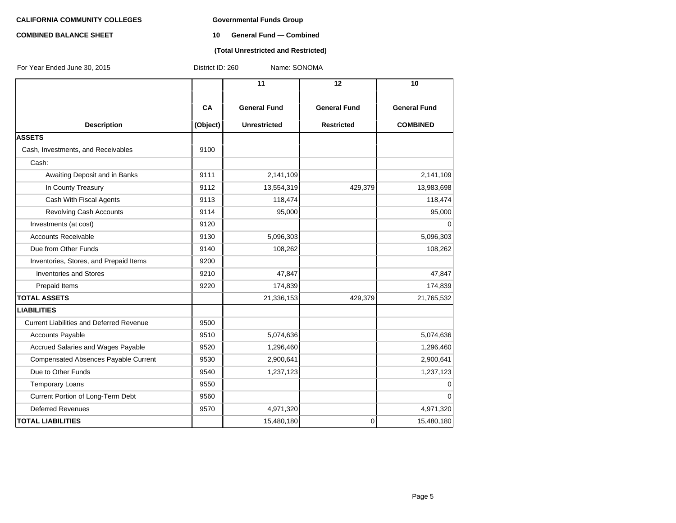# **COMBINED BALANCE SHEET 10 General Fund — Combined**

#### **(Total Unrestricted and Restricted)**

| For Year Ended June 30, 2015                    | District ID: 260 | Name: SONOMA        |                     |                     |
|-------------------------------------------------|------------------|---------------------|---------------------|---------------------|
|                                                 |                  | $\overline{11}$     | 12                  | 10                  |
|                                                 | CA               | <b>General Fund</b> | <b>General Fund</b> | <b>General Fund</b> |
| <b>Description</b>                              | (Object)         | <b>Unrestricted</b> | <b>Restricted</b>   | <b>COMBINED</b>     |
| <b>ASSETS</b>                                   |                  |                     |                     |                     |
| Cash, Investments, and Receivables              | 9100             |                     |                     |                     |
| Cash:                                           |                  |                     |                     |                     |
| Awaiting Deposit and in Banks                   | 9111             | 2,141,109           |                     | 2,141,109           |
| In County Treasury                              | 9112             | 13,554,319          | 429,379             | 13,983,698          |
| Cash With Fiscal Agents                         | 9113             | 118,474             |                     | 118,474             |
| Revolving Cash Accounts                         | 9114             | 95,000              |                     | 95,000              |
| Investments (at cost)                           | 9120             |                     |                     | 0                   |
| <b>Accounts Receivable</b>                      | 9130             | 5,096,303           |                     | 5,096,303           |
| Due from Other Funds                            | 9140             | 108,262             |                     | 108,262             |
| Inventories, Stores, and Prepaid Items          | 9200             |                     |                     |                     |
| <b>Inventories and Stores</b>                   | 9210             | 47,847              |                     | 47,847              |
| Prepaid Items                                   | 9220             | 174,839             |                     | 174,839             |
| <b>TOTAL ASSETS</b>                             |                  | 21,336,153          | 429,379             | 21,765,532          |
| <b>LIABILITIES</b>                              |                  |                     |                     |                     |
| <b>Current Liabilities and Deferred Revenue</b> | 9500             |                     |                     |                     |
| <b>Accounts Payable</b>                         | 9510             | 5,074,636           |                     | 5,074,636           |
| Accrued Salaries and Wages Payable              | 9520             | 1,296,460           |                     | 1,296,460           |
| Compensated Absences Payable Current            | 9530             | 2,900,641           |                     | 2,900,641           |
| Due to Other Funds                              | 9540             | 1,237,123           |                     | 1,237,123           |
| <b>Temporary Loans</b>                          | 9550             |                     |                     | 0                   |
| Current Portion of Long-Term Debt               | 9560             |                     |                     | 0                   |
| <b>Deferred Revenues</b>                        | 9570             | 4,971,320           |                     | 4,971,320           |
| <b>TOTAL LIABILITIES</b>                        |                  | 15,480,180          | 0                   | 15,480,180          |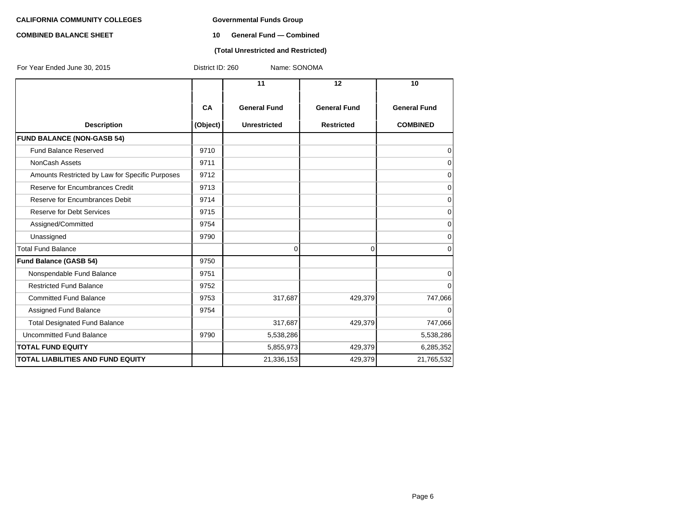# **COMBINED BALANCE SHEET 10 General Fund — Combined**

### **(Total Unrestricted and Restricted)**

| For Year Ended June 30, 2015                    | District ID: 260<br>Name: SONOMA |                     |                     |                     |  |  |  |
|-------------------------------------------------|----------------------------------|---------------------|---------------------|---------------------|--|--|--|
|                                                 |                                  | 11                  | $12 \overline{ }$   | 10                  |  |  |  |
|                                                 | <b>CA</b>                        | <b>General Fund</b> | <b>General Fund</b> | <b>General Fund</b> |  |  |  |
| <b>Description</b>                              | (Object)                         | <b>Unrestricted</b> | <b>Restricted</b>   | <b>COMBINED</b>     |  |  |  |
| <b>FUND BALANCE (NON-GASB 54)</b>               |                                  |                     |                     |                     |  |  |  |
| Fund Balance Reserved                           | 9710                             |                     |                     | 0                   |  |  |  |
| NonCash Assets                                  | 9711                             |                     |                     | 0                   |  |  |  |
| Amounts Restricted by Law for Specific Purposes | 9712                             |                     |                     | 0                   |  |  |  |
| Reserve for Encumbrances Credit                 | 9713                             |                     |                     | 0                   |  |  |  |
| Reserve for Encumbrances Debit                  | 9714                             |                     |                     | 0                   |  |  |  |
| <b>Reserve for Debt Services</b>                | 9715                             |                     |                     | 0                   |  |  |  |
| Assigned/Committed                              | 9754                             |                     |                     | 0                   |  |  |  |
| Unassigned                                      | 9790                             |                     |                     | 0                   |  |  |  |
| <b>Total Fund Balance</b>                       |                                  | $\overline{0}$      | 0                   | 0                   |  |  |  |
| <b>Fund Balance (GASB 54)</b>                   | 9750                             |                     |                     |                     |  |  |  |
| Nonspendable Fund Balance                       | 9751                             |                     |                     | 0                   |  |  |  |
| <b>Restricted Fund Balance</b>                  | 9752                             |                     |                     | 0                   |  |  |  |
| <b>Committed Fund Balance</b>                   | 9753                             | 317,687             | 429,379             | 747,066             |  |  |  |
| Assigned Fund Balance                           | 9754                             |                     |                     | 0                   |  |  |  |
| <b>Total Designated Fund Balance</b>            |                                  | 317,687             | 429,379             | 747,066             |  |  |  |
| Uncommitted Fund Balance                        | 9790                             | 5,538,286           |                     | 5,538,286           |  |  |  |
| <b>TOTAL FUND EQUITY</b>                        |                                  | 5,855,973           | 429,379             | 6,285,352           |  |  |  |
| <b>TOTAL LIABILITIES AND FUND EQUITY</b>        |                                  | 21,336,153          | 429,379             | 21,765,532          |  |  |  |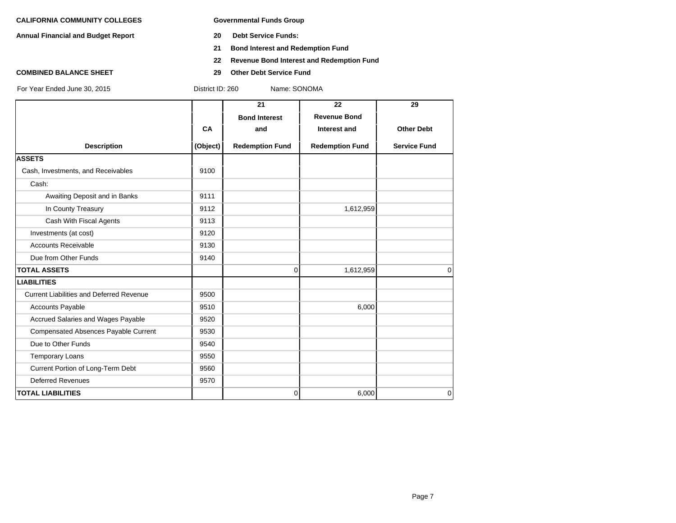**Annual Financial and Budget Report 20 Debt Service Funds:**

- 
- **21 Bond Interest and Redemption Fund**
- **22 Revenue Bond Interest and Redemption Fund**

- 
- **COMBINED BALANCE SHEET 29 Other Debt Service Fund**

|                                                 |           | 21                     | 22                     | 29                  |
|-------------------------------------------------|-----------|------------------------|------------------------|---------------------|
|                                                 |           | <b>Bond Interest</b>   | <b>Revenue Bond</b>    |                     |
|                                                 | <b>CA</b> | and                    | Interest and           | <b>Other Debt</b>   |
| <b>Description</b>                              | (Object)  | <b>Redemption Fund</b> | <b>Redemption Fund</b> | <b>Service Fund</b> |
| <b>ASSETS</b>                                   |           |                        |                        |                     |
| Cash, Investments, and Receivables              | 9100      |                        |                        |                     |
| Cash:                                           |           |                        |                        |                     |
| Awaiting Deposit and in Banks                   | 9111      |                        |                        |                     |
| In County Treasury                              | 9112      |                        | 1,612,959              |                     |
| Cash With Fiscal Agents                         | 9113      |                        |                        |                     |
| Investments (at cost)                           | 9120      |                        |                        |                     |
| <b>Accounts Receivable</b>                      | 9130      |                        |                        |                     |
| Due from Other Funds                            | 9140      |                        |                        |                     |
| <b>TOTAL ASSETS</b>                             |           | $\mathbf 0$            | 1,612,959              | 0                   |
| <b>LIABILITIES</b>                              |           |                        |                        |                     |
| <b>Current Liabilities and Deferred Revenue</b> | 9500      |                        |                        |                     |
| <b>Accounts Payable</b>                         | 9510      |                        | 6,000                  |                     |
| Accrued Salaries and Wages Payable              | 9520      |                        |                        |                     |
| Compensated Absences Payable Current            | 9530      |                        |                        |                     |
| Due to Other Funds                              | 9540      |                        |                        |                     |
| <b>Temporary Loans</b>                          | 9550      |                        |                        |                     |
| Current Portion of Long-Term Debt               | 9560      |                        |                        |                     |
| <b>Deferred Revenues</b>                        | 9570      |                        |                        |                     |
| <b>TOTAL LIABILITIES</b>                        |           | 0                      | 6,000                  | 0                   |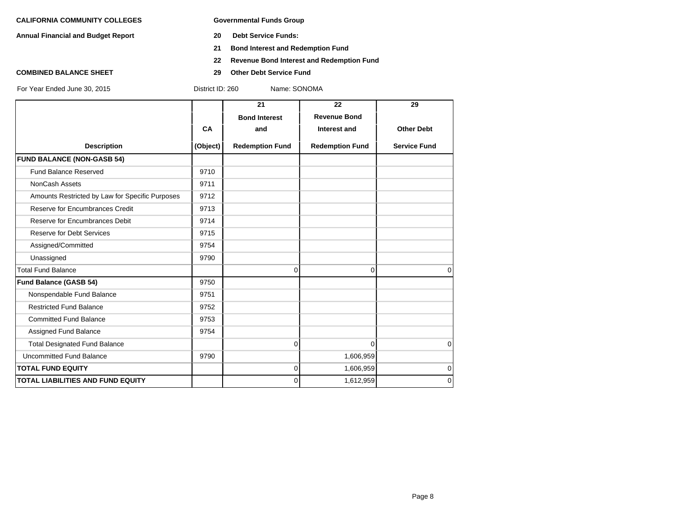**Annual Financial and Budget Report 20 Debt Service Funds:**

- 
- **21 Bond Interest and Redemption Fund**
- **22 Revenue Bond Interest and Redemption Fund**
- **COMBINED BALANCE SHEET 29 Other Debt Service Fund**

|                                                 |          | 21                     | 22                     | 29                  |
|-------------------------------------------------|----------|------------------------|------------------------|---------------------|
|                                                 |          | <b>Bond Interest</b>   | <b>Revenue Bond</b>    |                     |
|                                                 | CA       | and                    | Interest and           | <b>Other Debt</b>   |
| <b>Description</b>                              | (Object) | <b>Redemption Fund</b> | <b>Redemption Fund</b> | <b>Service Fund</b> |
| <b>FUND BALANCE (NON-GASB 54)</b>               |          |                        |                        |                     |
| <b>Fund Balance Reserved</b>                    | 9710     |                        |                        |                     |
| <b>NonCash Assets</b>                           | 9711     |                        |                        |                     |
| Amounts Restricted by Law for Specific Purposes | 9712     |                        |                        |                     |
| Reserve for Encumbrances Credit                 | 9713     |                        |                        |                     |
| Reserve for Encumbrances Debit                  | 9714     |                        |                        |                     |
| <b>Reserve for Debt Services</b>                | 9715     |                        |                        |                     |
| Assigned/Committed                              | 9754     |                        |                        |                     |
| Unassigned                                      | 9790     |                        |                        |                     |
| <b>Total Fund Balance</b>                       |          | 0                      | 0                      | $\Omega$            |
| <b>Fund Balance (GASB 54)</b>                   | 9750     |                        |                        |                     |
| Nonspendable Fund Balance                       | 9751     |                        |                        |                     |
| <b>Restricted Fund Balance</b>                  | 9752     |                        |                        |                     |
| <b>Committed Fund Balance</b>                   | 9753     |                        |                        |                     |
| Assigned Fund Balance                           | 9754     |                        |                        |                     |
| <b>Total Designated Fund Balance</b>            |          | 0                      | $\Omega$               | $\Omega$            |
| Uncommitted Fund Balance                        | 9790     |                        | 1,606,959              |                     |
| <b>TOTAL FUND EQUITY</b>                        |          | 0                      | 1,606,959              | $\mathbf 0$         |
| <b>TOTAL LIABILITIES AND FUND EQUITY</b>        |          | 0                      | 1,612,959              | $\mathbf 0$         |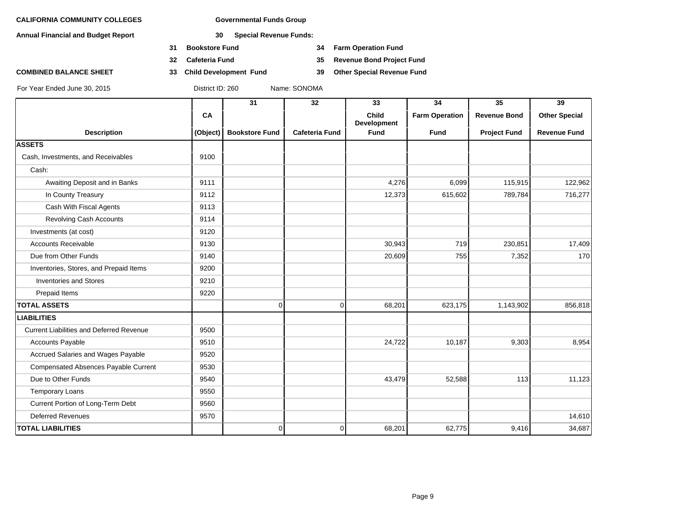**Annual Financial and Budget Report 30 Special Revenue Funds:**

- **31 Bookstore Fund 34 Farm Operation Fund**
- 
- **COMBINED BALANCE SHEET 33 Child Development Fund 39 Other Special Revenue Fund**

**32 Cafeteria Fund 35 Revenue Bond Project Fund**

|                                          |          | 31                    | 32                    | 33                          | 34                    | 35                  | 39                   |
|------------------------------------------|----------|-----------------------|-----------------------|-----------------------------|-----------------------|---------------------|----------------------|
|                                          | CA       |                       |                       | <b>Child</b><br>Development | <b>Farm Operation</b> | <b>Revenue Bond</b> | <b>Other Special</b> |
| <b>Description</b>                       | (Object) | <b>Bookstore Fund</b> | <b>Cafeteria Fund</b> | Fund                        | <b>Fund</b>           | <b>Project Fund</b> | <b>Revenue Fund</b>  |
| <b>ASSETS</b>                            |          |                       |                       |                             |                       |                     |                      |
| Cash, Investments, and Receivables       | 9100     |                       |                       |                             |                       |                     |                      |
| Cash:                                    |          |                       |                       |                             |                       |                     |                      |
| Awaiting Deposit and in Banks            | 9111     |                       |                       | 4,276                       | 6,099                 | 115,915             | 122,962              |
| In County Treasury                       | 9112     |                       |                       | 12,373                      | 615,602               | 789,784             | 716,277              |
| Cash With Fiscal Agents                  | 9113     |                       |                       |                             |                       |                     |                      |
| Revolving Cash Accounts                  | 9114     |                       |                       |                             |                       |                     |                      |
| Investments (at cost)                    | 9120     |                       |                       |                             |                       |                     |                      |
| <b>Accounts Receivable</b>               | 9130     |                       |                       | 30,943                      | 719                   | 230,851             | 17,409               |
| Due from Other Funds                     | 9140     |                       |                       | 20,609                      | 755                   | 7,352               | 170                  |
| Inventories, Stores, and Prepaid Items   | 9200     |                       |                       |                             |                       |                     |                      |
| <b>Inventories and Stores</b>            | 9210     |                       |                       |                             |                       |                     |                      |
| Prepaid Items                            | 9220     |                       |                       |                             |                       |                     |                      |
| <b>TOTAL ASSETS</b>                      |          | 0                     | $\overline{0}$        | 68,201                      | 623,175               | 1,143,902           | 856,818              |
| <b>LIABILITIES</b>                       |          |                       |                       |                             |                       |                     |                      |
| Current Liabilities and Deferred Revenue | 9500     |                       |                       |                             |                       |                     |                      |
| <b>Accounts Payable</b>                  | 9510     |                       |                       | 24,722                      | 10,187                | 9,303               | 8,954                |
| Accrued Salaries and Wages Payable       | 9520     |                       |                       |                             |                       |                     |                      |
| Compensated Absences Payable Current     | 9530     |                       |                       |                             |                       |                     |                      |
| Due to Other Funds                       | 9540     |                       |                       | 43,479                      | 52,588                | 113                 | 11,123               |
| <b>Temporary Loans</b>                   | 9550     |                       |                       |                             |                       |                     |                      |
| Current Portion of Long-Term Debt        | 9560     |                       |                       |                             |                       |                     |                      |
| <b>Deferred Revenues</b>                 | 9570     |                       |                       |                             |                       |                     | 14,610               |
| <b>TOTAL LIABILITIES</b>                 |          | 0                     | $\overline{0}$        | 68,201                      | 62,775                | 9,416               | 34,687               |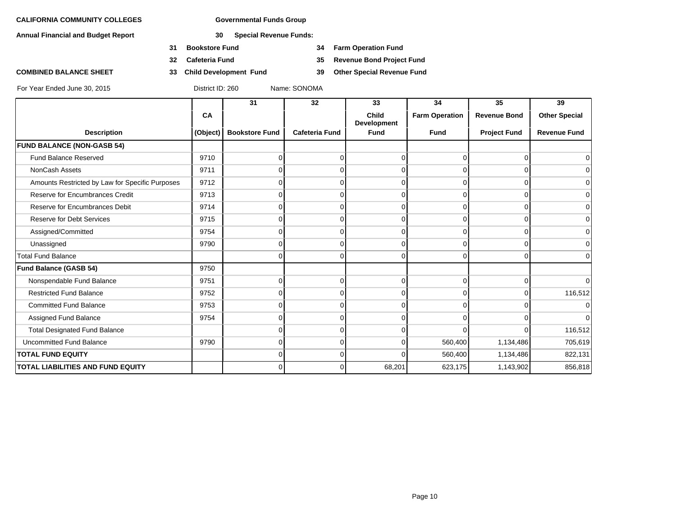**Annual Financial and Budget Report 30 Special Revenue Funds:**

- **31 Bookstore Fund 34 Farm Operation Fund**
- 
- 

**32 Cafeteria Fund 35 Revenue Bond Project Fund**

**COMBINED BALANCE SHEET 33 Child Development Fund 39 Other Special Revenue Fund**

|                                                 |          | 31                    | 32                    | 33                                 | 34                    | 35                  | 39                   |
|-------------------------------------------------|----------|-----------------------|-----------------------|------------------------------------|-----------------------|---------------------|----------------------|
|                                                 | CA       |                       |                       | <b>Child</b><br><b>Development</b> | <b>Farm Operation</b> | <b>Revenue Bond</b> | <b>Other Special</b> |
| <b>Description</b>                              | (Object) | <b>Bookstore Fund</b> | <b>Cafeteria Fund</b> | <b>Fund</b>                        | <b>Fund</b>           | <b>Project Fund</b> | <b>Revenue Fund</b>  |
| <b>FUND BALANCE (NON-GASB 54)</b>               |          |                       |                       |                                    |                       |                     |                      |
| <b>Fund Balance Reserved</b>                    | 9710     |                       | 0                     |                                    | $\Omega$              | $\Omega$            | $\overline{0}$       |
| NonCash Assets                                  | 9711     |                       | n                     |                                    | $\Omega$              | O                   | 0                    |
| Amounts Restricted by Law for Specific Purposes | 9712     |                       | U                     |                                    | $\Omega$              | $\Omega$            | $\overline{0}$       |
| Reserve for Encumbrances Credit                 | 9713     | n                     | $\Omega$              | $\Omega$                           | $\Omega$              | $\Omega$            | $\overline{0}$       |
| Reserve for Encumbrances Debit                  | 9714     |                       | n                     |                                    | $\Omega$              | O                   | 0                    |
| <b>Reserve for Debt Services</b>                | 9715     |                       | n                     |                                    | $\Omega$              | $\Omega$            | $\overline{0}$       |
| Assigned/Committed                              | 9754     | U                     | $\Omega$              | $\Omega$                           | $\Omega$              | $\Omega$            | $\overline{0}$       |
| Unassigned                                      | 9790     | n                     | 0                     |                                    | $\Omega$              | 0                   | $\overline{0}$       |
| <b>Total Fund Balance</b>                       |          | U                     | 0                     | $\Omega$                           | $\Omega$              | $\Omega$            | $\overline{0}$       |
| <b>Fund Balance (GASB 54)</b>                   | 9750     |                       |                       |                                    |                       |                     |                      |
| Nonspendable Fund Balance                       | 9751     | 0                     | 0                     | 0                                  | $\Omega$              | $\Omega$            | $\overline{0}$       |
| <b>Restricted Fund Balance</b>                  | 9752     |                       | n                     |                                    | $\Omega$              | $\Omega$            | 116,512              |
| <b>Committed Fund Balance</b>                   | 9753     | n                     | $\Omega$              | $\Omega$                           | $\Omega$              | 0                   | $\overline{0}$       |
| Assigned Fund Balance                           | 9754     | U                     | 0                     |                                    | $\Omega$              | ∩                   | $\overline{0}$       |
| <b>Total Designated Fund Balance</b>            |          |                       | 0                     |                                    | $\cap$                | U                   | 116,512              |
| <b>Uncommitted Fund Balance</b>                 | 9790     | 0                     | $\Omega$              |                                    | 560,400               | 1,134,486           | 705,619              |
| <b>TOTAL FUND EQUITY</b>                        |          | 0                     | $\Omega$              | <sup>0</sup>                       | 560,400               | 1,134,486           | 822,131              |
| <b>TOTAL LIABILITIES AND FUND EQUITY</b>        |          | U                     | 0                     | 68,201                             | 623,175               | 1,143,902           | 856,818              |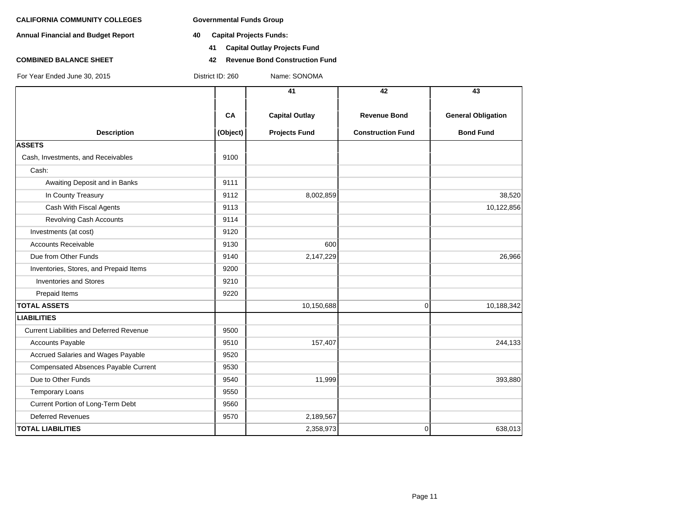**Annual Financial and Budget Report 40 Capital Projects Funds:**

- - **41 Capital Outlay Projects Fund**
- **COMBINED BALANCE SHEET 42 Revenue Bond Construction Fund**

|                                                 |          | 41                    | 42                       | 43                        |
|-------------------------------------------------|----------|-----------------------|--------------------------|---------------------------|
|                                                 | CA       | <b>Capital Outlay</b> | <b>Revenue Bond</b>      | <b>General Obligation</b> |
| <b>Description</b><br><b>ASSETS</b>             | (Object) | <b>Projects Fund</b>  | <b>Construction Fund</b> | <b>Bond Fund</b>          |
| Cash, Investments, and Receivables              | 9100     |                       |                          |                           |
| Cash:                                           |          |                       |                          |                           |
|                                                 |          |                       |                          |                           |
| Awaiting Deposit and in Banks                   | 9111     |                       |                          |                           |
| In County Treasury                              | 9112     | 8,002,859             |                          | 38,520                    |
| Cash With Fiscal Agents                         | 9113     |                       |                          | 10,122,856                |
| Revolving Cash Accounts                         | 9114     |                       |                          |                           |
| Investments (at cost)                           | 9120     |                       |                          |                           |
| <b>Accounts Receivable</b>                      | 9130     | 600                   |                          |                           |
| Due from Other Funds                            | 9140     | 2,147,229             |                          | 26,966                    |
| Inventories, Stores, and Prepaid Items          | 9200     |                       |                          |                           |
| <b>Inventories and Stores</b>                   | 9210     |                       |                          |                           |
| Prepaid Items                                   | 9220     |                       |                          |                           |
| <b>TOTAL ASSETS</b>                             |          | 10,150,688            | 0                        | 10,188,342                |
| <b>LIABILITIES</b>                              |          |                       |                          |                           |
| <b>Current Liabilities and Deferred Revenue</b> | 9500     |                       |                          |                           |
| Accounts Payable                                | 9510     | 157,407               |                          | 244,133                   |
| Accrued Salaries and Wages Payable              | 9520     |                       |                          |                           |
| Compensated Absences Payable Current            | 9530     |                       |                          |                           |
| Due to Other Funds                              | 9540     | 11,999                |                          | 393,880                   |
| <b>Temporary Loans</b>                          | 9550     |                       |                          |                           |
| Current Portion of Long-Term Debt               | 9560     |                       |                          |                           |
| <b>Deferred Revenues</b>                        | 9570     | 2,189,567             |                          |                           |
| <b>TOTAL LIABILITIES</b>                        |          | 2,358,973             | 0                        | 638,013                   |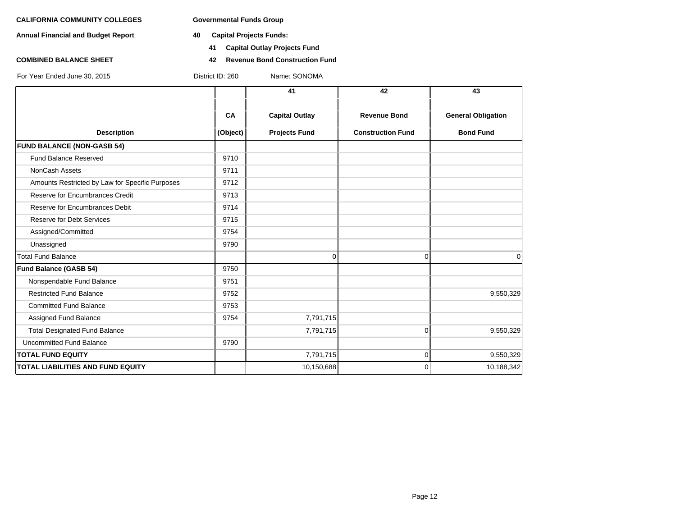**Annual Financial and Budget Report 40 Capital Projects Funds:**

- - **41 Capital Outlay Projects Fund**
- **COMBINED BALANCE SHEET 42 Revenue Bond Construction Fund**

|                                                 |          | 41                    | 42                       | 43                        |
|-------------------------------------------------|----------|-----------------------|--------------------------|---------------------------|
|                                                 | CA       | <b>Capital Outlay</b> | <b>Revenue Bond</b>      | <b>General Obligation</b> |
| <b>Description</b>                              | (Object) | <b>Projects Fund</b>  | <b>Construction Fund</b> | <b>Bond Fund</b>          |
| <b>FUND BALANCE (NON-GASB 54)</b>               |          |                       |                          |                           |
| Fund Balance Reserved                           | 9710     |                       |                          |                           |
| NonCash Assets                                  | 9711     |                       |                          |                           |
| Amounts Restricted by Law for Specific Purposes | 9712     |                       |                          |                           |
| Reserve for Encumbrances Credit                 | 9713     |                       |                          |                           |
| Reserve for Encumbrances Debit                  | 9714     |                       |                          |                           |
| <b>Reserve for Debt Services</b>                | 9715     |                       |                          |                           |
| Assigned/Committed                              | 9754     |                       |                          |                           |
| Unassigned                                      | 9790     |                       |                          |                           |
| <b>Total Fund Balance</b>                       |          | $\Omega$              | $\Omega$                 | $\mathbf 0$               |
| <b>Fund Balance (GASB 54)</b>                   | 9750     |                       |                          |                           |
| Nonspendable Fund Balance                       | 9751     |                       |                          |                           |
| <b>Restricted Fund Balance</b>                  | 9752     |                       |                          | 9,550,329                 |
| <b>Committed Fund Balance</b>                   | 9753     |                       |                          |                           |
| Assigned Fund Balance                           | 9754     | 7,791,715             |                          |                           |
| <b>Total Designated Fund Balance</b>            |          | 7,791,715             | $\Omega$                 | 9,550,329                 |
| Uncommitted Fund Balance                        | 9790     |                       |                          |                           |
| <b>TOTAL FUND EQUITY</b>                        |          | 7,791,715             | 0                        | 9,550,329                 |
| <b>TOTAL LIABILITIES AND FUND EQUITY</b>        |          | 10,150,688            | $\Omega$                 | 10,188,342                |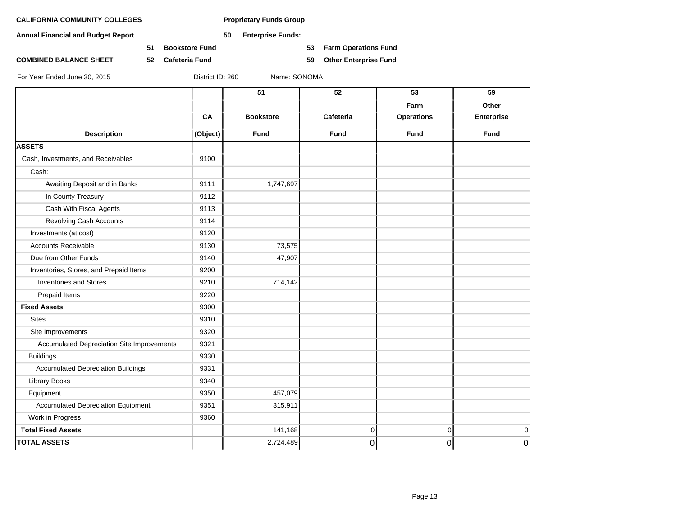**Annual Financial and Budget Report 50 Enterprise Funds:**

**51 Bookstore Fund 53 Farm Operations Fund**

**COMBINED BALANCE SHEET 52 Cafeteria Fund 59 Other Enterprise Fund**

|                                            |          | 51               | 52              | 53                | 59                |
|--------------------------------------------|----------|------------------|-----------------|-------------------|-------------------|
|                                            |          |                  |                 |                   |                   |
|                                            |          |                  |                 | Farm              | Other             |
|                                            | CA       | <b>Bookstore</b> | Cafeteria       | <b>Operations</b> | <b>Enterprise</b> |
| <b>Description</b>                         | (Object) | <b>Fund</b>      | <b>Fund</b>     | Fund              | <b>Fund</b>       |
| <b>ASSETS</b>                              |          |                  |                 |                   |                   |
| Cash, Investments, and Receivables         | 9100     |                  |                 |                   |                   |
| Cash:                                      |          |                  |                 |                   |                   |
| Awaiting Deposit and in Banks              | 9111     | 1,747,697        |                 |                   |                   |
| In County Treasury                         | 9112     |                  |                 |                   |                   |
| Cash With Fiscal Agents                    | 9113     |                  |                 |                   |                   |
| <b>Revolving Cash Accounts</b>             | 9114     |                  |                 |                   |                   |
| Investments (at cost)                      | 9120     |                  |                 |                   |                   |
| <b>Accounts Receivable</b>                 | 9130     | 73,575           |                 |                   |                   |
| Due from Other Funds                       | 9140     | 47,907           |                 |                   |                   |
| Inventories, Stores, and Prepaid Items     | 9200     |                  |                 |                   |                   |
| <b>Inventories and Stores</b>              | 9210     | 714,142          |                 |                   |                   |
| Prepaid Items                              | 9220     |                  |                 |                   |                   |
| <b>Fixed Assets</b>                        | 9300     |                  |                 |                   |                   |
| <b>Sites</b>                               | 9310     |                  |                 |                   |                   |
| Site Improvements                          | 9320     |                  |                 |                   |                   |
| Accumulated Depreciation Site Improvements | 9321     |                  |                 |                   |                   |
| <b>Buildings</b>                           | 9330     |                  |                 |                   |                   |
| <b>Accumulated Depreciation Buildings</b>  | 9331     |                  |                 |                   |                   |
| <b>Library Books</b>                       | 9340     |                  |                 |                   |                   |
| Equipment                                  | 9350     | 457,079          |                 |                   |                   |
| <b>Accumulated Depreciation Equipment</b>  | 9351     | 315,911          |                 |                   |                   |
| Work in Progress                           | 9360     |                  |                 |                   |                   |
| <b>Total Fixed Assets</b>                  |          | 141,168          | $\vert 0 \vert$ | 0                 | 0                 |
| <b>TOTAL ASSETS</b>                        |          | 2,724,489        | 0               | 0                 | $\boldsymbol{0}$  |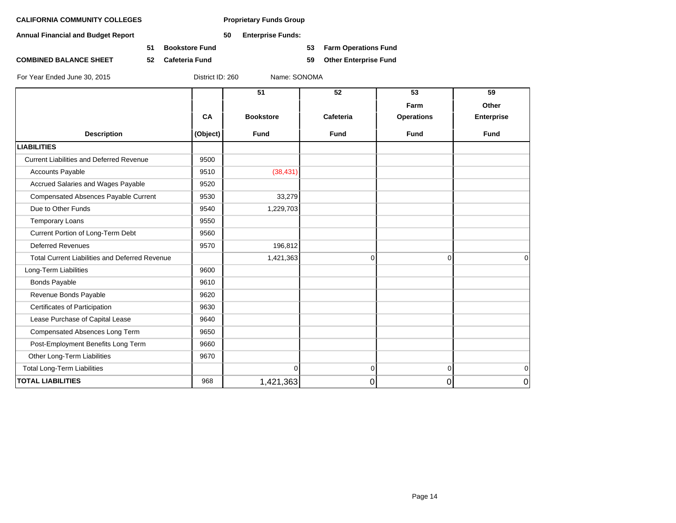**Annual Financial and Budget Report 50 Enterprise Funds:**

**COMBINED BALANCE SHEET 52 Cafeteria Fund 59 Other Enterprise Fund**

**51 Bookstore Fund 53 Farm Operations Fund**

|                                                       |          | 51               | 52             | 53                | 59                |
|-------------------------------------------------------|----------|------------------|----------------|-------------------|-------------------|
|                                                       |          |                  |                | Farm              | Other             |
|                                                       | CA       | <b>Bookstore</b> | Cafeteria      | <b>Operations</b> | <b>Enterprise</b> |
| <b>Description</b>                                    | (Object) | <b>Fund</b>      | <b>Fund</b>    | <b>Fund</b>       | <b>Fund</b>       |
| <b>LIABILITIES</b>                                    |          |                  |                |                   |                   |
| <b>Current Liabilities and Deferred Revenue</b>       | 9500     |                  |                |                   |                   |
| <b>Accounts Payable</b>                               | 9510     | (38, 431)        |                |                   |                   |
| Accrued Salaries and Wages Payable                    | 9520     |                  |                |                   |                   |
| Compensated Absences Payable Current                  | 9530     | 33,279           |                |                   |                   |
| Due to Other Funds                                    | 9540     | 1,229,703        |                |                   |                   |
| <b>Temporary Loans</b>                                | 9550     |                  |                |                   |                   |
| Current Portion of Long-Term Debt                     | 9560     |                  |                |                   |                   |
| <b>Deferred Revenues</b>                              | 9570     | 196,812          |                |                   |                   |
| <b>Total Current Liabilities and Deferred Revenue</b> |          | 1,421,363        | $\overline{0}$ | $\Omega$          | $\Omega$          |
| Long-Term Liabilities                                 | 9600     |                  |                |                   |                   |
| <b>Bonds Payable</b>                                  | 9610     |                  |                |                   |                   |
| Revenue Bonds Payable                                 | 9620     |                  |                |                   |                   |
| Certificates of Participation                         | 9630     |                  |                |                   |                   |
| Lease Purchase of Capital Lease                       | 9640     |                  |                |                   |                   |
| Compensated Absences Long Term                        | 9650     |                  |                |                   |                   |
| Post-Employment Benefits Long Term                    | 9660     |                  |                |                   |                   |
| Other Long-Term Liabilities                           | 9670     |                  |                |                   |                   |
| <b>Total Long-Term Liabilities</b>                    |          | $\overline{0}$   | $\overline{0}$ | $\overline{0}$    | $\mathbf 0$       |
| <b>TOTAL LIABILITIES</b>                              | 968      | 1,421,363        | 0              | 0                 | 0                 |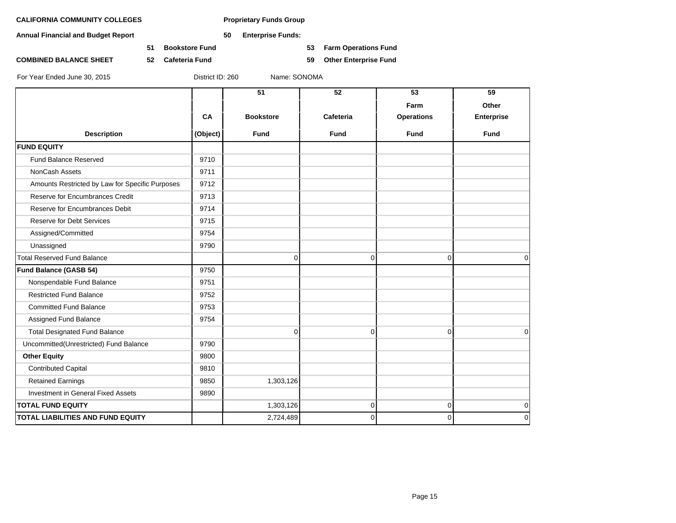**Annual Financial and Budget Report 50 Enterprise Funds:**

**51 Bookstore Fund 53 Farm Operations Fund**

**COMBINED BALANCE SHEET 52 Cafeteria Fund 59 Other Enterprise Fund**

|                                                 |          | $\overline{51}$  | $\overline{52}$ | 53                | 59                         |  |
|-------------------------------------------------|----------|------------------|-----------------|-------------------|----------------------------|--|
|                                                 |          |                  |                 | Farm              | Other<br><b>Enterprise</b> |  |
|                                                 | CA       | <b>Bookstore</b> | Cafeteria       | <b>Operations</b> |                            |  |
| <b>Description</b>                              | (Object) | <b>Fund</b>      | <b>Fund</b>     | <b>Fund</b>       | <b>Fund</b>                |  |
| <b>FUND EQUITY</b>                              |          |                  |                 |                   |                            |  |
| <b>Fund Balance Reserved</b>                    | 9710     |                  |                 |                   |                            |  |
| <b>NonCash Assets</b>                           | 9711     |                  |                 |                   |                            |  |
| Amounts Restricted by Law for Specific Purposes | 9712     |                  |                 |                   |                            |  |
| Reserve for Encumbrances Credit                 | 9713     |                  |                 |                   |                            |  |
| Reserve for Encumbrances Debit                  | 9714     |                  |                 |                   |                            |  |
| <b>Reserve for Debt Services</b>                | 9715     |                  |                 |                   |                            |  |
| Assigned/Committed                              | 9754     |                  |                 |                   |                            |  |
| Unassigned                                      | 9790     |                  |                 |                   |                            |  |
| <b>Total Reserved Fund Balance</b>              |          | $\Omega$         | $\Omega$        | $\Omega$          | $\Omega$                   |  |
| <b>Fund Balance (GASB 54)</b>                   | 9750     |                  |                 |                   |                            |  |
| Nonspendable Fund Balance                       | 9751     |                  |                 |                   |                            |  |
| <b>Restricted Fund Balance</b>                  | 9752     |                  |                 |                   |                            |  |
| <b>Committed Fund Balance</b>                   | 9753     |                  |                 |                   |                            |  |
| Assigned Fund Balance                           | 9754     |                  |                 |                   |                            |  |
| <b>Total Designated Fund Balance</b>            |          | $\Omega$         | $\mathbf 0$     | $\overline{0}$    | $\Omega$                   |  |
| Uncommitted(Unrestricted) Fund Balance          | 9790     |                  |                 |                   |                            |  |
| <b>Other Equity</b>                             | 9800     |                  |                 |                   |                            |  |
| <b>Contributed Capital</b>                      | 9810     |                  |                 |                   |                            |  |
| <b>Retained Earnings</b>                        | 9850     | 1,303,126        |                 |                   |                            |  |
| Investment in General Fixed Assets              | 9890     |                  |                 |                   |                            |  |
| <b>TOTAL FUND EQUITY</b>                        |          | 1,303,126        | $\pmb{0}$       | $\overline{0}$    | 0                          |  |
| TOTAL LIABILITIES AND FUND EQUITY               |          | 2,724,489        | $\mathbf 0$     | $\overline{0}$    | 0                          |  |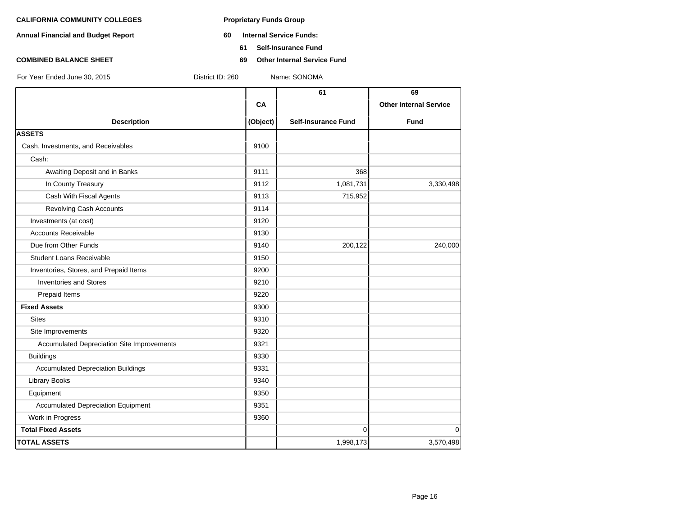- **Annual Financial and Budget Report 60 Internal Service Funds:**
	- **61 Self-Insurance Fund**
- **COMBINED BALANCE SHEET 69 Other Internal Service Fund**

|                                            |          | 61                         | 69                            |
|--------------------------------------------|----------|----------------------------|-------------------------------|
|                                            | CA       |                            | <b>Other Internal Service</b> |
| <b>Description</b>                         | (Object) | <b>Self-Insurance Fund</b> | <b>Fund</b>                   |
| <b>ASSETS</b>                              |          |                            |                               |
| Cash, Investments, and Receivables         | 9100     |                            |                               |
| Cash:                                      |          |                            |                               |
| Awaiting Deposit and in Banks              | 9111     | 368                        |                               |
| In County Treasury                         | 9112     | 1,081,731                  | 3,330,498                     |
| Cash With Fiscal Agents                    | 9113     | 715,952                    |                               |
| Revolving Cash Accounts                    | 9114     |                            |                               |
| Investments (at cost)                      | 9120     |                            |                               |
| <b>Accounts Receivable</b>                 | 9130     |                            |                               |
| Due from Other Funds                       | 9140     | 200,122                    | 240,000                       |
| <b>Student Loans Receivable</b>            | 9150     |                            |                               |
| Inventories, Stores, and Prepaid Items     | 9200     |                            |                               |
| <b>Inventories and Stores</b>              | 9210     |                            |                               |
| Prepaid Items                              | 9220     |                            |                               |
| <b>Fixed Assets</b>                        | 9300     |                            |                               |
| <b>Sites</b>                               | 9310     |                            |                               |
| Site Improvements                          | 9320     |                            |                               |
| Accumulated Depreciation Site Improvements | 9321     |                            |                               |
| <b>Buildings</b>                           | 9330     |                            |                               |
| <b>Accumulated Depreciation Buildings</b>  | 9331     |                            |                               |
| <b>Library Books</b>                       | 9340     |                            |                               |
| Equipment                                  | 9350     |                            |                               |
| <b>Accumulated Depreciation Equipment</b>  | 9351     |                            |                               |
| Work in Progress                           | 9360     |                            |                               |
| <b>Total Fixed Assets</b>                  |          | $\Omega$                   | $\mathbf 0$                   |
| <b>TOTAL ASSETS</b>                        |          | 1,998,173                  | 3,570,498                     |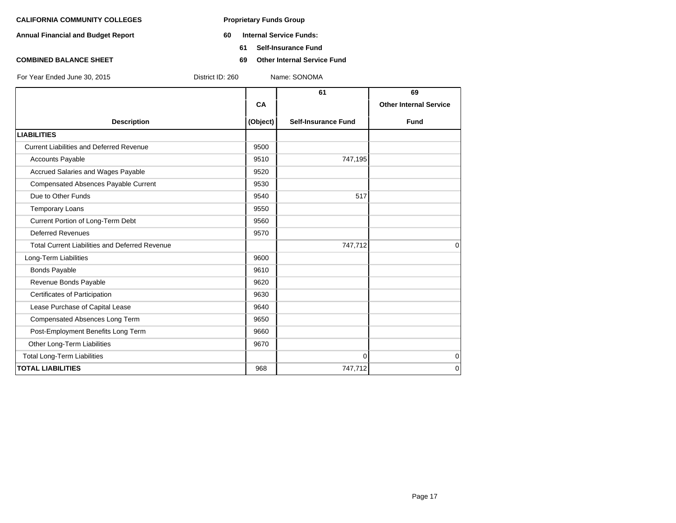- **Annual Financial and Budget Report 60 Internal Service Funds:**
	- **61 Self-Insurance Fund**
- **COMBINED BALANCE SHEET 69 Other Internal Service Fund**

|                                                       |          | 61                         | 69                            |
|-------------------------------------------------------|----------|----------------------------|-------------------------------|
|                                                       | CA       |                            | <b>Other Internal Service</b> |
| <b>Description</b>                                    | (Object) | <b>Self-Insurance Fund</b> | <b>Fund</b>                   |
| <b>LIABILITIES</b>                                    |          |                            |                               |
| <b>Current Liabilities and Deferred Revenue</b>       | 9500     |                            |                               |
| <b>Accounts Payable</b>                               | 9510     | 747,195                    |                               |
| Accrued Salaries and Wages Payable                    | 9520     |                            |                               |
| Compensated Absences Payable Current                  | 9530     |                            |                               |
| Due to Other Funds                                    | 9540     | 517                        |                               |
| <b>Temporary Loans</b>                                | 9550     |                            |                               |
| Current Portion of Long-Term Debt                     | 9560     |                            |                               |
| <b>Deferred Revenues</b>                              | 9570     |                            |                               |
| <b>Total Current Liabilities and Deferred Revenue</b> |          | 747,712                    | $\Omega$                      |
| Long-Term Liabilities                                 | 9600     |                            |                               |
| <b>Bonds Payable</b>                                  | 9610     |                            |                               |
| Revenue Bonds Payable                                 | 9620     |                            |                               |
| Certificates of Participation                         | 9630     |                            |                               |
| Lease Purchase of Capital Lease                       | 9640     |                            |                               |
| Compensated Absences Long Term                        | 9650     |                            |                               |
| Post-Employment Benefits Long Term                    | 9660     |                            |                               |
| Other Long-Term Liabilities                           | 9670     |                            |                               |
| <b>Total Long-Term Liabilities</b>                    |          | $\Omega$                   | 0                             |
| <b>TOTAL LIABILITIES</b>                              | 968      | 747,712                    | 0                             |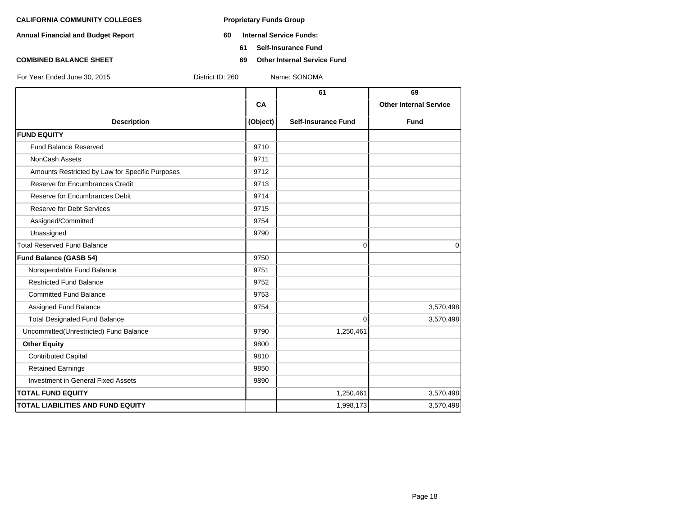- **Annual Financial and Budget Report 60 Internal Service Funds:**
	- **61 Self-Insurance Fund**
- **COMBINED BALANCE SHEET 69 Other Internal Service Fund**

|                                                 |          | 61                         | 69                            |
|-------------------------------------------------|----------|----------------------------|-------------------------------|
|                                                 | CA       |                            | <b>Other Internal Service</b> |
| <b>Description</b>                              | (Object) | <b>Self-Insurance Fund</b> | <b>Fund</b>                   |
| <b>FUND EQUITY</b>                              |          |                            |                               |
| <b>Fund Balance Reserved</b>                    | 9710     |                            |                               |
| NonCash Assets                                  | 9711     |                            |                               |
| Amounts Restricted by Law for Specific Purposes | 9712     |                            |                               |
| Reserve for Encumbrances Credit                 | 9713     |                            |                               |
| Reserve for Encumbrances Debit                  | 9714     |                            |                               |
| <b>Reserve for Debt Services</b>                | 9715     |                            |                               |
| Assigned/Committed                              | 9754     |                            |                               |
| Unassigned                                      | 9790     |                            |                               |
| <b>Total Reserved Fund Balance</b>              |          | 0                          | $\mathbf 0$                   |
| Fund Balance (GASB 54)                          | 9750     |                            |                               |
| Nonspendable Fund Balance                       | 9751     |                            |                               |
| <b>Restricted Fund Balance</b>                  | 9752     |                            |                               |
| <b>Committed Fund Balance</b>                   | 9753     |                            |                               |
| Assigned Fund Balance                           | 9754     |                            | 3,570,498                     |
| <b>Total Designated Fund Balance</b>            |          | $\Omega$                   | 3,570,498                     |
| Uncommitted(Unrestricted) Fund Balance          | 9790     | 1,250,461                  |                               |
| <b>Other Equity</b>                             | 9800     |                            |                               |
| <b>Contributed Capital</b>                      | 9810     |                            |                               |
| <b>Retained Earnings</b>                        | 9850     |                            |                               |
| <b>Investment in General Fixed Assets</b>       | 9890     |                            |                               |
| <b>TOTAL FUND EQUITY</b>                        |          | 1,250,461                  | 3,570,498                     |
| <b>TOTAL LIABILITIES AND FUND EQUITY</b>        |          | 1,998,173                  | 3,570,498                     |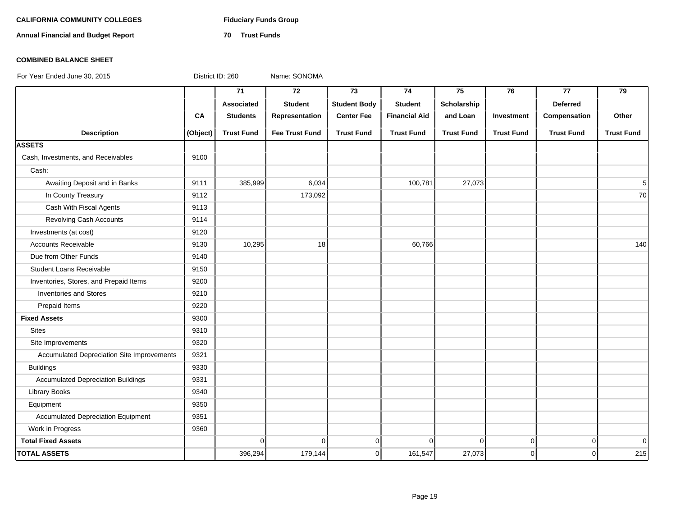# **CALIFORNIA COMMUNITY COLLEGES Fiduciary Funds Group**

**Annual Financial and Budget Report 70 Trust Funds**

### **COMBINED BALANCE SHEET**

|                                            |          | $\overline{71}$   | $\overline{72}$       | $\overline{73}$     | 74                   | 75                | 76                | 77                | 79                |
|--------------------------------------------|----------|-------------------|-----------------------|---------------------|----------------------|-------------------|-------------------|-------------------|-------------------|
|                                            |          | Associated        | <b>Student</b>        | <b>Student Body</b> | <b>Student</b>       | Scholarship       |                   | <b>Deferred</b>   |                   |
|                                            | CA       | <b>Students</b>   | Representation        | <b>Center Fee</b>   | <b>Financial Aid</b> | and Loan          | Investment        | Compensation      | Other             |
| <b>Description</b>                         | (Object) | <b>Trust Fund</b> | <b>Fee Trust Fund</b> | <b>Trust Fund</b>   | <b>Trust Fund</b>    | <b>Trust Fund</b> | <b>Trust Fund</b> | <b>Trust Fund</b> | <b>Trust Fund</b> |
| <b>ASSETS</b>                              |          |                   |                       |                     |                      |                   |                   |                   |                   |
| Cash, Investments, and Receivables         | 9100     |                   |                       |                     |                      |                   |                   |                   |                   |
| Cash:                                      |          |                   |                       |                     |                      |                   |                   |                   |                   |
| Awaiting Deposit and in Banks              | 9111     | 385,999           | 6,034                 |                     | 100,781              | 27,073            |                   |                   | 5 <sup>1</sup>    |
| In County Treasury                         | 9112     |                   | 173,092               |                     |                      |                   |                   |                   | 70                |
| Cash With Fiscal Agents                    | 9113     |                   |                       |                     |                      |                   |                   |                   |                   |
| Revolving Cash Accounts                    | 9114     |                   |                       |                     |                      |                   |                   |                   |                   |
| Investments (at cost)                      | 9120     |                   |                       |                     |                      |                   |                   |                   |                   |
| <b>Accounts Receivable</b>                 | 9130     | 10,295            | 18                    |                     | 60,766               |                   |                   |                   | 140               |
| Due from Other Funds                       | 9140     |                   |                       |                     |                      |                   |                   |                   |                   |
| <b>Student Loans Receivable</b>            | 9150     |                   |                       |                     |                      |                   |                   |                   |                   |
| Inventories, Stores, and Prepaid Items     | 9200     |                   |                       |                     |                      |                   |                   |                   |                   |
| <b>Inventories and Stores</b>              | 9210     |                   |                       |                     |                      |                   |                   |                   |                   |
| Prepaid Items                              | 9220     |                   |                       |                     |                      |                   |                   |                   |                   |
| <b>Fixed Assets</b>                        | 9300     |                   |                       |                     |                      |                   |                   |                   |                   |
| <b>Sites</b>                               | 9310     |                   |                       |                     |                      |                   |                   |                   |                   |
| Site Improvements                          | 9320     |                   |                       |                     |                      |                   |                   |                   |                   |
| Accumulated Depreciation Site Improvements | 9321     |                   |                       |                     |                      |                   |                   |                   |                   |
| <b>Buildings</b>                           | 9330     |                   |                       |                     |                      |                   |                   |                   |                   |
| <b>Accumulated Depreciation Buildings</b>  | 9331     |                   |                       |                     |                      |                   |                   |                   |                   |
| <b>Library Books</b>                       | 9340     |                   |                       |                     |                      |                   |                   |                   |                   |
| Equipment                                  | 9350     |                   |                       |                     |                      |                   |                   |                   |                   |
| <b>Accumulated Depreciation Equipment</b>  | 9351     |                   |                       |                     |                      |                   |                   |                   |                   |
| Work in Progress                           | 9360     |                   |                       |                     |                      |                   |                   |                   |                   |
| <b>Total Fixed Assets</b>                  |          | $\Omega$          | $\Omega$              | $\overline{0}$      | $\Omega$             | $\Omega$          | $\Omega$          | $\mathbf 0$       | 0                 |
| <b>TOTAL ASSETS</b>                        |          | 396,294           | 179,144               | 0                   | 161,547              | 27,073            | $\overline{0}$    | $\Omega$          | 215               |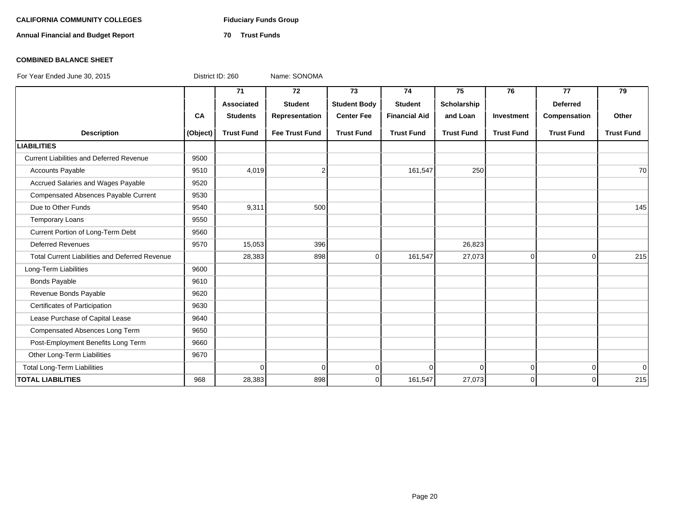# **CALIFORNIA COMMUNITY COLLEGES Fiduciary Funds Group**

**Annual Financial and Budget Report 70 Trust Funds**

### **COMBINED BALANCE SHEET**

|                                                       |          | 71                | 72                    | 73                  | 74                   | 75                | 76                | 77                | 79                |
|-------------------------------------------------------|----------|-------------------|-----------------------|---------------------|----------------------|-------------------|-------------------|-------------------|-------------------|
|                                                       |          | Associated        | <b>Student</b>        | <b>Student Body</b> | <b>Student</b>       | Scholarship       |                   | <b>Deferred</b>   |                   |
|                                                       | CA       | <b>Students</b>   | Representation        | <b>Center Fee</b>   | <b>Financial Aid</b> | and Loan          | Investment        | Compensation      | Other             |
| <b>Description</b>                                    | (Object) | <b>Trust Fund</b> | <b>Fee Trust Fund</b> | <b>Trust Fund</b>   | <b>Trust Fund</b>    | <b>Trust Fund</b> | <b>Trust Fund</b> | <b>Trust Fund</b> | <b>Trust Fund</b> |
| <b>LIABILITIES</b>                                    |          |                   |                       |                     |                      |                   |                   |                   |                   |
| <b>Current Liabilities and Deferred Revenue</b>       | 9500     |                   |                       |                     |                      |                   |                   |                   |                   |
| <b>Accounts Payable</b>                               | 9510     | 4,019             | $\overline{2}$        |                     | 161,547              | 250               |                   |                   | 70                |
| Accrued Salaries and Wages Payable                    | 9520     |                   |                       |                     |                      |                   |                   |                   |                   |
| Compensated Absences Payable Current                  | 9530     |                   |                       |                     |                      |                   |                   |                   |                   |
| Due to Other Funds                                    | 9540     | 9,311             | 500                   |                     |                      |                   |                   |                   | 145               |
| <b>Temporary Loans</b>                                | 9550     |                   |                       |                     |                      |                   |                   |                   |                   |
| Current Portion of Long-Term Debt                     | 9560     |                   |                       |                     |                      |                   |                   |                   |                   |
| <b>Deferred Revenues</b>                              | 9570     | 15,053            | 396                   |                     |                      | 26,823            |                   |                   |                   |
| <b>Total Current Liabilities and Deferred Revenue</b> |          | 28,383            | 898                   | $\Omega$            | 161,547              | 27,073            | $\Omega$          | $\Omega$          | 215               |
| Long-Term Liabilities                                 | 9600     |                   |                       |                     |                      |                   |                   |                   |                   |
| <b>Bonds Payable</b>                                  | 9610     |                   |                       |                     |                      |                   |                   |                   |                   |
| Revenue Bonds Payable                                 | 9620     |                   |                       |                     |                      |                   |                   |                   |                   |
| Certificates of Participation                         | 9630     |                   |                       |                     |                      |                   |                   |                   |                   |
| Lease Purchase of Capital Lease                       | 9640     |                   |                       |                     |                      |                   |                   |                   |                   |
| Compensated Absences Long Term                        | 9650     |                   |                       |                     |                      |                   |                   |                   |                   |
| Post-Employment Benefits Long Term                    | 9660     |                   |                       |                     |                      |                   |                   |                   |                   |
| Other Long-Term Liabilities                           | 9670     |                   |                       |                     |                      |                   |                   |                   |                   |
| <b>Total Long-Term Liabilities</b>                    |          | $\Omega$          | $\Omega$              | 0                   | $\Omega$             | Οl                | $\overline{0}$    | $\overline{0}$    | $\Omega$          |
| <b>TOTAL LIABILITIES</b>                              | 968      | 28,383            | 898                   | $\Omega$            | 161,547              | 27,073            | $\Omega$          | $\Omega$          | 215               |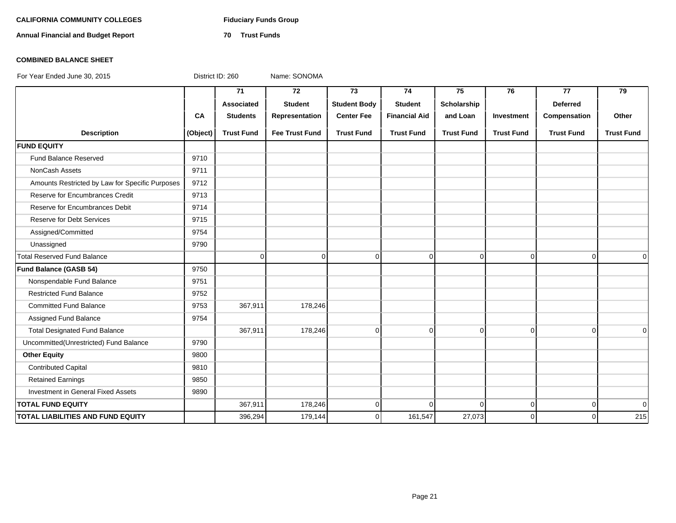# **CALIFORNIA COMMUNITY COLLEGES Fiduciary Funds Group**

**Annual Financial and Budget Report 70 Trust Funds**

# **COMBINED BALANCE SHEET**

|                                                 |          | 71                | 72                    | 73                  | 74                   | 75                | 76                | 77                | 79                |
|-------------------------------------------------|----------|-------------------|-----------------------|---------------------|----------------------|-------------------|-------------------|-------------------|-------------------|
|                                                 |          | Associated        | <b>Student</b>        | <b>Student Body</b> | <b>Student</b>       | Scholarship       |                   | <b>Deferred</b>   |                   |
|                                                 | CA       | <b>Students</b>   | Representation        | <b>Center Fee</b>   | <b>Financial Aid</b> | and Loan          | Investment        | Compensation      | Other             |
| <b>Description</b>                              | (Object) | <b>Trust Fund</b> | <b>Fee Trust Fund</b> | <b>Trust Fund</b>   | <b>Trust Fund</b>    | <b>Trust Fund</b> | <b>Trust Fund</b> | <b>Trust Fund</b> | <b>Trust Fund</b> |
| <b>FUND EQUITY</b>                              |          |                   |                       |                     |                      |                   |                   |                   |                   |
| Fund Balance Reserved                           | 9710     |                   |                       |                     |                      |                   |                   |                   |                   |
| <b>NonCash Assets</b>                           | 9711     |                   |                       |                     |                      |                   |                   |                   |                   |
| Amounts Restricted by Law for Specific Purposes | 9712     |                   |                       |                     |                      |                   |                   |                   |                   |
| Reserve for Encumbrances Credit                 | 9713     |                   |                       |                     |                      |                   |                   |                   |                   |
| Reserve for Encumbrances Debit                  | 9714     |                   |                       |                     |                      |                   |                   |                   |                   |
| <b>Reserve for Debt Services</b>                | 9715     |                   |                       |                     |                      |                   |                   |                   |                   |
| Assigned/Committed                              | 9754     |                   |                       |                     |                      |                   |                   |                   |                   |
| Unassigned                                      | 9790     |                   |                       |                     |                      |                   |                   |                   |                   |
| <b>Total Reserved Fund Balance</b>              |          | $\Omega$          | $\Omega$              | $\Omega$            | $\Omega$             | $\Omega$          | $\Omega$          | $\Omega$          | $\Omega$          |
| Fund Balance (GASB 54)                          | 9750     |                   |                       |                     |                      |                   |                   |                   |                   |
| Nonspendable Fund Balance                       | 9751     |                   |                       |                     |                      |                   |                   |                   |                   |
| <b>Restricted Fund Balance</b>                  | 9752     |                   |                       |                     |                      |                   |                   |                   |                   |
| <b>Committed Fund Balance</b>                   | 9753     | 367,911           | 178,246               |                     |                      |                   |                   |                   |                   |
| Assigned Fund Balance                           | 9754     |                   |                       |                     |                      |                   |                   |                   |                   |
| <b>Total Designated Fund Balance</b>            |          | 367,911           | 178,246               | $\overline{0}$      | $\overline{0}$       | $\mathbf 0$       | $\Omega$          | $\Omega$          | $\Omega$          |
| Uncommitted(Unrestricted) Fund Balance          | 9790     |                   |                       |                     |                      |                   |                   |                   |                   |
| <b>Other Equity</b>                             | 9800     |                   |                       |                     |                      |                   |                   |                   |                   |
| <b>Contributed Capital</b>                      | 9810     |                   |                       |                     |                      |                   |                   |                   |                   |
| <b>Retained Earnings</b>                        | 9850     |                   |                       |                     |                      |                   |                   |                   |                   |
| Investment in General Fixed Assets              | 9890     |                   |                       |                     |                      |                   |                   |                   |                   |
| <b>TOTAL FUND EQUITY</b>                        |          | 367,911           | 178,246               | $\Omega$            | $\Omega$             | $\Omega$          | $\Omega$          | $\Omega$          | $\overline{0}$    |
| TOTAL LIABILITIES AND FUND EQUITY               |          | 396,294           | 179,144               | $\Omega$            | 161,547              | 27,073            | $\Omega$          | $\Omega$          | 215               |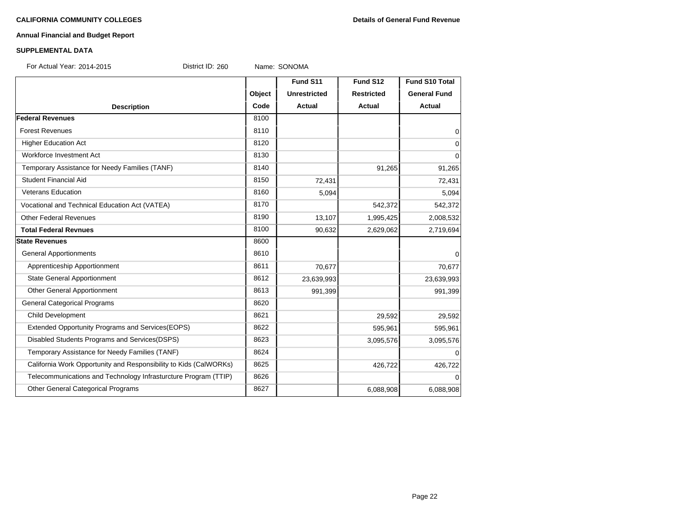# **Annual Financial and Budget Report**

### **SUPPLEMENTAL DATA**

For Actual Year: 2014-2015 District ID: 260 Name: SONOMA

|                                                                   |        | Fund S11            | Fund S12          | <b>Fund S10 Total</b> |
|-------------------------------------------------------------------|--------|---------------------|-------------------|-----------------------|
|                                                                   | Object | <b>Unrestricted</b> | <b>Restricted</b> | <b>General Fund</b>   |
| <b>Description</b>                                                | Code   | Actual              | <b>Actual</b>     | Actual                |
| <b>Federal Revenues</b>                                           | 8100   |                     |                   |                       |
| <b>Forest Revenues</b>                                            | 8110   |                     |                   | $\mathbf 0$           |
| <b>Higher Education Act</b>                                       | 8120   |                     |                   | 0                     |
| Workforce Investment Act                                          | 8130   |                     |                   | $\Omega$              |
| Temporary Assistance for Needy Families (TANF)                    | 8140   |                     | 91,265            | 91,265                |
| <b>Student Financial Aid</b>                                      | 8150   | 72,431              |                   | 72,431                |
| <b>Veterans Education</b>                                         | 8160   | 5,094               |                   | 5,094                 |
| Vocational and Technical Education Act (VATEA)                    | 8170   |                     | 542,372           | 542,372               |
| <b>Other Federal Revenues</b>                                     | 8190   | 13,107              | 1,995,425         | 2,008,532             |
| <b>Total Federal Revnues</b>                                      | 8100   | 90,632              | 2,629,062         | 2,719,694             |
| <b>State Revenues</b>                                             | 8600   |                     |                   |                       |
| <b>General Apportionments</b>                                     | 8610   |                     |                   | 0                     |
| Apprenticeship Apportionment                                      | 8611   | 70,677              |                   | 70,677                |
| <b>State General Apportionment</b>                                | 8612   | 23,639,993          |                   | 23,639,993            |
| Other General Apportionment                                       | 8613   | 991,399             |                   | 991,399               |
| <b>General Categorical Programs</b>                               | 8620   |                     |                   |                       |
| Child Development                                                 | 8621   |                     | 29,592            | 29,592                |
| Extended Opportunity Programs and Services (EOPS)                 | 8622   |                     | 595,961           | 595,961               |
| Disabled Students Programs and Services(DSPS)                     | 8623   |                     | 3,095,576         | 3,095,576             |
| Temporary Assistance for Needy Families (TANF)                    | 8624   |                     |                   | $\Omega$              |
| California Work Opportunity and Responsibility to Kids (CalWORKs) | 8625   |                     | 426,722           | 426,722               |
| Telecommunications and Technology Infrasturcture Program (TTIP)   | 8626   |                     |                   | $\Omega$              |
| Other General Categorical Programs                                | 8627   |                     | 6,088,908         | 6,088,908             |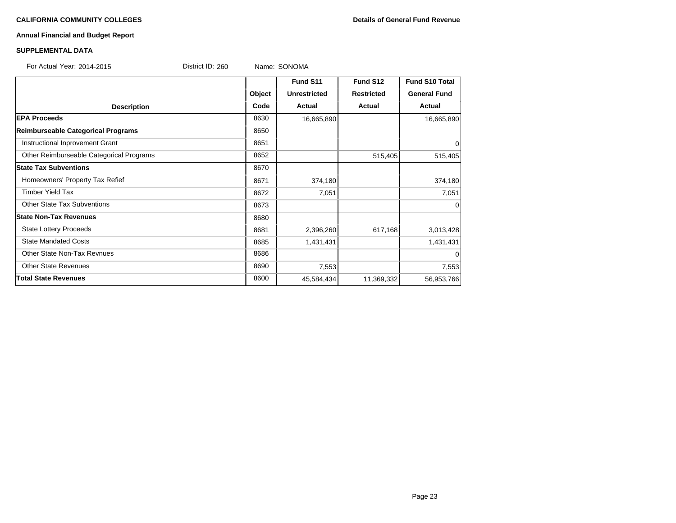## **Annual Financial and Budget Report**

| For Actual Year: 2014-2015               | District ID: 260 |        | Name: SONOMA        |                   |                     |
|------------------------------------------|------------------|--------|---------------------|-------------------|---------------------|
|                                          |                  |        | Fund S11            | Fund S12          | Fund S10 Total      |
|                                          |                  | Object | <b>Unrestricted</b> | <b>Restricted</b> | <b>General Fund</b> |
| <b>Description</b>                       |                  | Code   | <b>Actual</b>       | Actual            | <b>Actual</b>       |
| <b>EPA Proceeds</b>                      |                  | 8630   | 16,665,890          |                   | 16,665,890          |
| Reimburseable Categorical Programs       |                  | 8650   |                     |                   |                     |
| Instructional Inprovement Grant          |                  | 8651   |                     |                   | 0                   |
| Other Reimburseable Categorical Programs |                  | 8652   |                     | 515,405           | 515,405             |
| <b>State Tax Subventions</b>             |                  | 8670   |                     |                   |                     |
| Homeowners' Property Tax Refief          |                  | 8671   | 374,180             |                   | 374,180             |
| <b>Timber Yield Tax</b>                  |                  | 8672   | 7,051               |                   | 7,051               |
| <b>Other State Tax Subventions</b>       |                  | 8673   |                     |                   | 0                   |
| <b>State Non-Tax Revenues</b>            |                  | 8680   |                     |                   |                     |
| <b>State Lottery Proceeds</b>            |                  | 8681   | 2,396,260           | 617,168           | 3,013,428           |
| <b>State Mandated Costs</b>              |                  | 8685   | 1,431,431           |                   | 1,431,431           |
| <b>Other State Non-Tax Revnues</b>       |                  | 8686   |                     |                   | $\Omega$            |
| <b>Other State Revenues</b>              |                  | 8690   | 7,553               |                   | 7,553               |
| <b>Total State Revenues</b>              |                  | 8600   | 45,584,434          | 11,369,332        | 56,953,766          |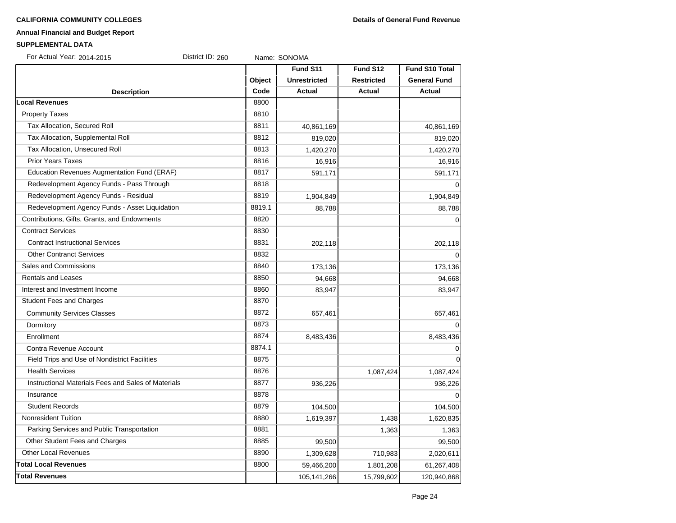# **Annual Financial and Budget Report**

| For Actual Year: 2014-2015                          | District ID: 260 |        | Name: SONOMA        |                   |                       |
|-----------------------------------------------------|------------------|--------|---------------------|-------------------|-----------------------|
|                                                     |                  |        | Fund S11            | Fund S12          | <b>Fund S10 Total</b> |
|                                                     |                  | Object | <b>Unrestricted</b> | <b>Restricted</b> | <b>General Fund</b>   |
| <b>Description</b>                                  |                  | Code   | <b>Actual</b>       | <b>Actual</b>     | Actual                |
| <b>Local Revenues</b>                               |                  | 8800   |                     |                   |                       |
| <b>Property Taxes</b>                               |                  | 8810   |                     |                   |                       |
| Tax Allocation, Secured Roll                        |                  | 8811   | 40,861,169          |                   | 40,861,169            |
| Tax Allocation, Supplemental Roll                   |                  | 8812   | 819,020             |                   | 819,020               |
| Tax Allocation, Unsecured Roll                      |                  | 8813   | 1,420,270           |                   | 1,420,270             |
| <b>Prior Years Taxes</b>                            |                  | 8816   | 16,916              |                   | 16,916                |
| <b>Education Revenues Augmentation Fund (ERAF)</b>  |                  | 8817   | 591,171             |                   | 591,171               |
| Redevelopment Agency Funds - Pass Through           |                  | 8818   |                     |                   | $\Omega$              |
| Redevelopment Agency Funds - Residual               |                  | 8819   | 1,904,849           |                   | 1,904,849             |
| Redevelopment Agency Funds - Asset Liquidation      |                  | 8819.1 | 88,788              |                   | 88,788                |
| Contributions, Gifts, Grants, and Endowments        |                  | 8820   |                     |                   | $\mathbf 0$           |
| <b>Contract Services</b>                            |                  | 8830   |                     |                   |                       |
| <b>Contract Instructional Services</b>              |                  | 8831   | 202,118             |                   | 202,118               |
| <b>Other Contranct Services</b>                     |                  | 8832   |                     |                   | $\Omega$              |
| Sales and Commissions                               |                  | 8840   | 173,136             |                   | 173,136               |
| <b>Rentals and Leases</b>                           |                  | 8850   | 94,668              |                   | 94,668                |
| Interest and Investment Income                      |                  | 8860   | 83,947              |                   | 83,947                |
| <b>Student Fees and Charges</b>                     |                  | 8870   |                     |                   |                       |
| <b>Community Services Classes</b>                   |                  | 8872   | 657,461             |                   | 657,461               |
| Dormitory                                           |                  | 8873   |                     |                   | $\Omega$              |
| Enrollment                                          |                  | 8874   | 8,483,436           |                   | 8,483,436             |
| Contra Revenue Account                              |                  | 8874.1 |                     |                   | 0                     |
| Field Trips and Use of Nondistrict Facilities       |                  | 8875   |                     |                   | $\mathbf 0$           |
| <b>Health Services</b>                              |                  | 8876   |                     | 1,087,424         | 1,087,424             |
| Instructional Materials Fees and Sales of Materials |                  | 8877   | 936,226             |                   | 936,226               |
| Insurance                                           |                  | 8878   |                     |                   | $\Omega$              |
| <b>Student Records</b>                              |                  | 8879   | 104,500             |                   | 104,500               |
| Nonresident Tuition                                 |                  | 8880   | 1,619,397           | 1,438             | 1,620,835             |
| Parking Services and Public Transportation          |                  | 8881   |                     | 1,363             | 1,363                 |
| Other Student Fees and Charges                      |                  | 8885   | 99,500              |                   | 99,500                |
| <b>Other Local Revenues</b>                         |                  | 8890   | 1,309,628           | 710,983           | 2,020,611             |
| <b>Total Local Revenues</b>                         |                  | 8800   | 59,466,200          | 1,801,208         | 61,267,408            |
| <b>Total Revenues</b>                               |                  |        | 105,141,266         | 15,799,602        | 120,940,868           |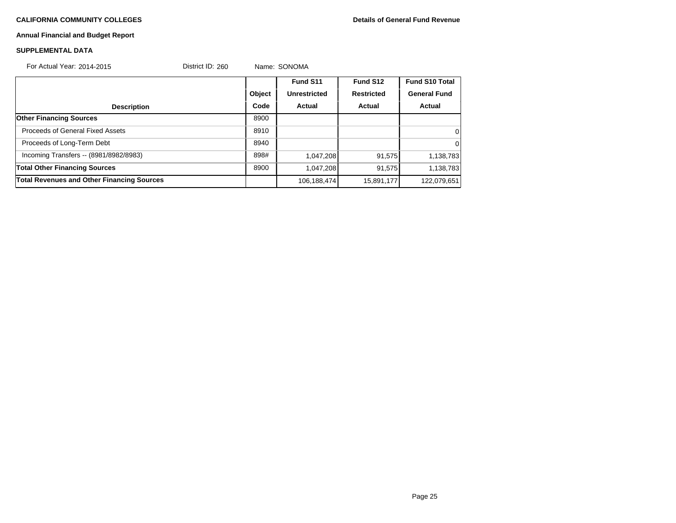# **Annual Financial and Budget Report**

| For Actual Year: 2014-2015                        | District ID: 260 |        | Name: SONOMA        |                   |                       |  |
|---------------------------------------------------|------------------|--------|---------------------|-------------------|-----------------------|--|
|                                                   |                  |        | Fund S11            | Fund S12          | <b>Fund S10 Total</b> |  |
|                                                   |                  | Object | <b>Unrestricted</b> | <b>Restricted</b> | <b>General Fund</b>   |  |
| <b>Description</b>                                |                  | Code   | Actual              | Actual            | Actual                |  |
| <b>Other Financing Sources</b>                    |                  | 8900   |                     |                   |                       |  |
| Proceeds of General Fixed Assets                  |                  | 8910   |                     |                   | 0                     |  |
| Proceeds of Long-Term Debt                        |                  | 8940   |                     |                   | $\Omega$              |  |
| Incoming Transfers -- (8981/8982/8983)            |                  | 898#   | 1,047,208           | 91,575            | 1,138,783             |  |
| <b>Total Other Financing Sources</b>              |                  | 8900   | 1,047,208           | 91,575            | 1,138,783             |  |
| <b>Total Revenues and Other Financing Sources</b> |                  |        | 106,188,474         | 15,891,177        | 122,079,651           |  |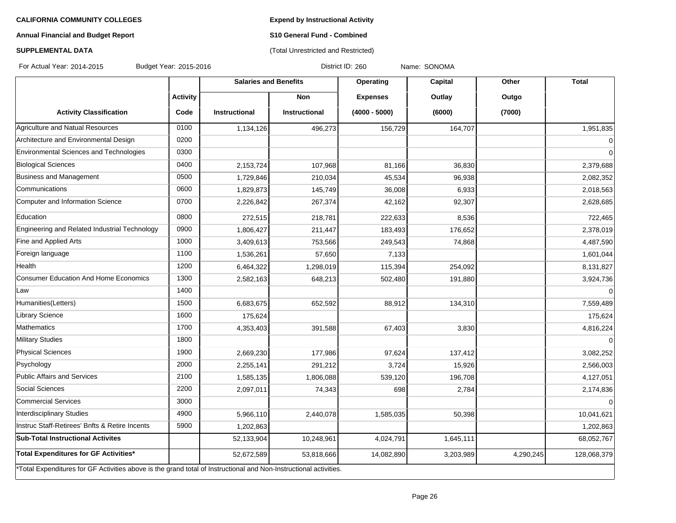**Expend by Instructional Activity**

# **Annual Financial and Budget Report**

# **S10 General Fund - Combined** (Total Unrestricted and Restricted)

# **SUPPLEMENTAL DATA**

For Actual Year: 2014-2015 Budget Year: 2015-2016 Contract Magnet District ID: 260 Name: SONOMA

|                                                                                                                   |                 | <b>Salaries and Benefits</b> |                      | Operating       | <b>Capital</b> | Other     | <b>Total</b> |
|-------------------------------------------------------------------------------------------------------------------|-----------------|------------------------------|----------------------|-----------------|----------------|-----------|--------------|
|                                                                                                                   | <b>Activity</b> |                              | <b>Non</b>           | <b>Expenses</b> | Outlay         | Outgo     |              |
| <b>Activity Classification</b>                                                                                    | Code            | <b>Instructional</b>         | <b>Instructional</b> | $(4000 - 5000)$ | (6000)         | (7000)    |              |
| Agriculture and Natual Resources                                                                                  | 0100            | 1,134,126                    | 496,273              | 156,729         | 164,707        |           | 1,951,835    |
| Architecture and Environmental Design                                                                             | 0200            |                              |                      |                 |                |           | $\mathbf 0$  |
| Environmental Sciences and Technologies                                                                           | 0300            |                              |                      |                 |                |           | $\Omega$     |
| <b>Biological Sciences</b>                                                                                        | 0400            | 2,153,724                    | 107,968              | 81,166          | 36,830         |           | 2,379,688    |
| Business and Management                                                                                           | 0500            | 1,729,846                    | 210,034              | 45,534          | 96,938         |           | 2,082,352    |
| lCommunications                                                                                                   | 0600            | 1,829,873                    | 145,749              | 36,008          | 6,933          |           | 2,018,563    |
| Computer and Information Science                                                                                  | 0700            | 2,226,842                    | 267,374              | 42,162          | 92,307         |           | 2,628,685    |
| Education                                                                                                         | 0800            | 272,515                      | 218,781              | 222,633         | 8,536          |           | 722,465      |
| Engineering and Related Industrial Technology                                                                     | 0900            | 1,806,427                    | 211,447              | 183,493         | 176,652        |           | 2,378,019    |
| Fine and Applied Arts                                                                                             | 1000            | 3,409,613                    | 753,566              | 249,543         | 74,868         |           | 4,487,590    |
| Foreign language                                                                                                  | 1100            | 1,536,261                    | 57,650               | 7,133           |                |           | 1,601,044    |
| Health                                                                                                            | 1200            | 6,464,322                    | 1,298,019            | 115,394         | 254,092        |           | 8,131,827    |
| <b>Consumer Education And Home Economics</b>                                                                      | 1300            | 2,582,163                    | 648,213              | 502,480         | 191,880        |           | 3,924,736    |
| Law                                                                                                               | 1400            |                              |                      |                 |                |           | $\Omega$     |
| Humanities(Letters)                                                                                               | 1500            | 6,683,675                    | 652,592              | 88,912          | 134,310        |           | 7,559,489    |
| <b>Library Science</b>                                                                                            | 1600            | 175,624                      |                      |                 |                |           | 175,624      |
| Mathematics                                                                                                       | 1700            | 4,353,403                    | 391,588              | 67,403          | 3,830          |           | 4,816,224    |
| <b>Military Studies</b>                                                                                           | 1800            |                              |                      |                 |                |           |              |
| <b>Physical Sciences</b>                                                                                          | 1900            | 2,669,230                    | 177,986              | 97,624          | 137,412        |           | 3,082,252    |
| Psychology                                                                                                        | 2000            | 2,255,141                    | 291,212              | 3,724           | 15,926         |           | 2,566,003    |
| Public Affairs and Services                                                                                       | 2100            | 1,585,135                    | 1,806,088            | 539,120         | 196,708        |           | 4,127,051    |
| Social Sciences                                                                                                   | 2200            | 2,097,011                    | 74,343               | 698             | 2,784          |           | 2,174,836    |
| Commercial Services                                                                                               | 3000            |                              |                      |                 |                |           | $\Omega$     |
| Interdisciplinary Studies                                                                                         | 4900            | 5,966,110                    | 2,440,078            | 1,585,035       | 50,398         |           | 10,041,621   |
| Instruc Staff-Retirees' Bnfts & Retire Incents                                                                    | 5900            | 1,202,863                    |                      |                 |                |           | 1,202,863    |
| <b>Sub-Total Instructional Activites</b>                                                                          |                 | 52,133,904                   | 10,248,961           | 4,024,791       | 1,645,111      |           | 68,052,767   |
| Total Expenditures for GF Activities*                                                                             |                 | 52,672,589                   | 53,818,666           | 14,082,890      | 3,203,989      | 4,290,245 | 128,068,379  |
| *Total Expenditures for GF Activities above is the grand total of Instructional and Non-Instructional activities. |                 |                              |                      |                 |                |           |              |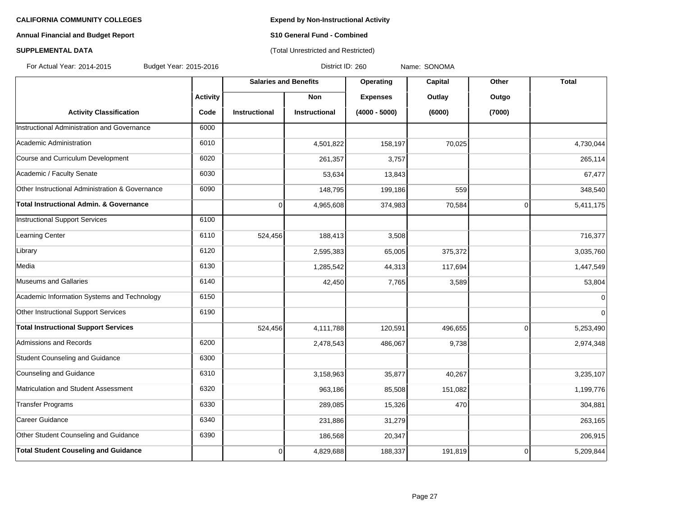# **Annual Financial and Budget Report S10 General Fund - Combined**

# **SUPPLEMENTAL DATA CONSERVATION CONSERVATION** (Total Unrestricted and Restricted)

For Actual Year: 2014-2015 Budget Year: 2015-2016 Product 10: 260 Name: SONOMA

|                                                    |                 | <b>Salaries and Benefits</b> |                      | Operating       | Capital | Other       | <b>Total</b> |
|----------------------------------------------------|-----------------|------------------------------|----------------------|-----------------|---------|-------------|--------------|
|                                                    | <b>Activity</b> |                              | <b>Non</b>           | <b>Expenses</b> | Outlay  | Outgo       |              |
| <b>Activity Classification</b>                     | Code            | <b>Instructional</b>         | <b>Instructional</b> | $(4000 - 5000)$ | (6000)  | (7000)      |              |
| Instructional Administration and Governance        | 6000            |                              |                      |                 |         |             |              |
| Academic Administration                            | 6010            |                              | 4,501,822            | 158,197         | 70,025  |             | 4,730,044    |
| Course and Curriculum Development                  | 6020            |                              | 261,357              | 3,757           |         |             | 265,114      |
| Academic / Faculty Senate                          | 6030            |                              | 53,634               | 13,843          |         |             | 67,477       |
| Other Instructional Administration & Governance    | 6090            |                              | 148,795              | 199,186         | 559     |             | 348,540      |
| <b>Total Instructional Admin. &amp; Governance</b> |                 | 0                            | 4,965,608            | 374,983         | 70,584  | $\mathbf 0$ | 5,411,175    |
| <b>Instructional Support Services</b>              | 6100            |                              |                      |                 |         |             |              |
| Learning Center                                    | 6110            | 524,456                      | 188,413              | 3,508           |         |             | 716,377      |
| Library                                            | 6120            |                              | 2,595,383            | 65,005          | 375,372 |             | 3,035,760    |
| Media                                              | 6130            |                              | 1,285,542            | 44,313          | 117,694 |             | 1,447,549    |
| Museums and Gallaries                              | 6140            |                              | 42,450               | 7,765           | 3,589   |             | 53,804       |
| Academic Information Systems and Technology        | 6150            |                              |                      |                 |         |             | $\Omega$     |
| Other Instructional Support Services               | 6190            |                              |                      |                 |         |             | $\Omega$     |
| <b>Total Instructional Support Services</b>        |                 | 524,456                      | 4,111,788            | 120,591         | 496,655 | $\Omega$    | 5,253,490    |
| <b>Admissions and Records</b>                      | 6200            |                              | 2,478,543            | 486,067         | 9,738   |             | 2,974,348    |
| Student Counseling and Guidance                    | 6300            |                              |                      |                 |         |             |              |
| Counseling and Guidance                            | 6310            |                              | 3,158,963            | 35,877          | 40,267  |             | 3,235,107    |
| Matriculation and Student Assessment               | 6320            |                              | 963,186              | 85,508          | 151,082 |             | 1,199,776    |
| <b>Transfer Programs</b>                           | 6330            |                              | 289,085              | 15,326          | 470     |             | 304,881      |
| Career Guidance                                    | 6340            |                              | 231,886              | 31,279          |         |             | 263,165      |
| Other Student Counseling and Guidance              | 6390            |                              | 186,568              | 20,347          |         |             | 206,915      |
| <b>Total Student Couseling and Guidance</b>        |                 | $\Omega$                     | 4,829,688            | 188,337         | 191,819 | $\Omega$    | 5,209,844    |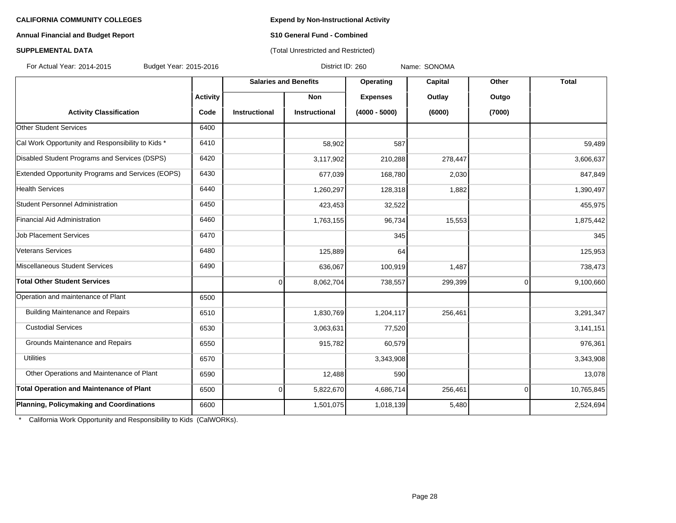## **Annual Financial and Budget Report S10 General Fund - Combined**

## **SUPPLEMENTAL DATA CONSERVATION CONSERVATION** (Total Unrestricted and Restricted)

For Actual Year: 2014-2015 Budget Year: 2015-2016 Product 10: 260 Name: SONOMA

|                                                   |                 | <b>Salaries and Benefits</b> |                      | Operating       | Capital | Other    | <b>Total</b> |
|---------------------------------------------------|-----------------|------------------------------|----------------------|-----------------|---------|----------|--------------|
|                                                   | <b>Activity</b> |                              | Non                  | <b>Expenses</b> | Outlay  | Outgo    |              |
| <b>Activity Classification</b>                    | Code            | <b>Instructional</b>         | <b>Instructional</b> | $(4000 - 5000)$ | (6000)  | (7000)   |              |
| Other Student Services                            | 6400            |                              |                      |                 |         |          |              |
| Cal Work Opportunity and Responsibility to Kids * | 6410            |                              | 58,902               | 587             |         |          | 59,489       |
| Disabled Student Programs and Services (DSPS)     | 6420            |                              | 3,117,902            | 210,288         | 278,447 |          | 3,606,637    |
| Extended Opportunity Programs and Services (EOPS) | 6430            |                              | 677,039              | 168,780         | 2,030   |          | 847,849      |
| <b>Health Services</b>                            | 6440            |                              | 1,260,297            | 128,318         | 1,882   |          | 1,390,497    |
| Student Personnel Administration                  | 6450            |                              | 423,453              | 32,522          |         |          | 455,975      |
| Financial Aid Administration                      | 6460            |                              | 1,763,155            | 96,734          | 15,553  |          | 1,875,442    |
| <b>Job Placement Services</b>                     | 6470            |                              |                      | 345             |         |          | 345          |
| Veterans Services                                 | 6480            |                              | 125,889              | 64              |         |          | 125,953      |
| Miscellaneous Student Services                    | 6490            |                              | 636,067              | 100,919         | 1,487   |          | 738,473      |
| <b>Total Other Student Services</b>               |                 | $\Omega$                     | 8,062,704            | 738,557         | 299,399 | $\Omega$ | 9,100,660    |
| Operation and maintenance of Plant                | 6500            |                              |                      |                 |         |          |              |
| <b>Building Maintenance and Repairs</b>           | 6510            |                              | 1,830,769            | 1,204,117       | 256,461 |          | 3,291,347    |
| <b>Custodial Services</b>                         | 6530            |                              | 3,063,631            | 77,520          |         |          | 3,141,151    |
| Grounds Maintenance and Repairs                   | 6550            |                              | 915,782              | 60,579          |         |          | 976,361      |
| <b>Utilities</b>                                  | 6570            |                              |                      | 3,343,908       |         |          | 3,343,908    |
| Other Operations and Maintenance of Plant         | 6590            |                              | 12,488               | 590             |         |          | 13,078       |
| <b>Total Operation and Maintenance of Plant</b>   | 6500            | $\Omega$                     | 5,822,670            | 4,686,714       | 256,461 | $\Omega$ | 10,765,845   |
| Planning, Policymaking and Coordinations          | 6600            |                              | 1,501,075            | 1,018,139       | 5,480   |          | 2,524,694    |

\* California Work Opportunity and Responsibility to Kids (CalWORKs).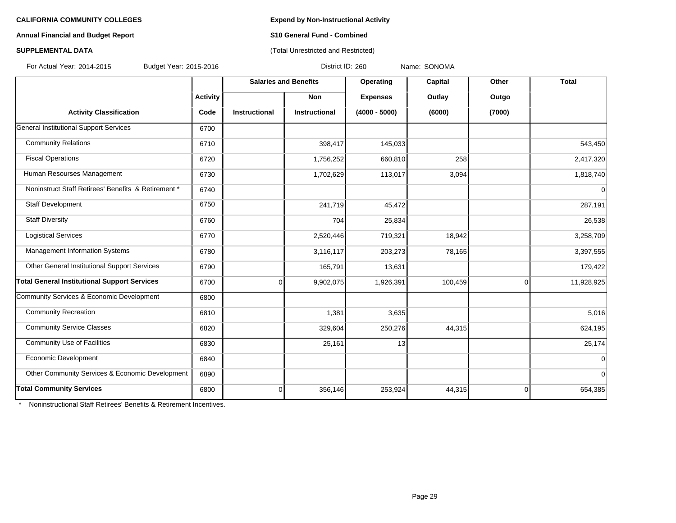## **Annual Financial and Budget Report S10 General Fund - Combined**

# **SUPPLEMENTAL DATA** (Total Unrestricted and Restricted)

For Actual Year: 2014-2015 Budget Year: 2015-2016 District ID: 260 Name: SONOMA

|                                                     |                 | <b>Salaries and Benefits</b> |               | Operating       | Capital | Other          | <b>Total</b> |
|-----------------------------------------------------|-----------------|------------------------------|---------------|-----------------|---------|----------------|--------------|
|                                                     | <b>Activity</b> |                              | <b>Non</b>    | <b>Expenses</b> | Outlay  | Outgo          |              |
| <b>Activity Classification</b>                      | Code            | Instructional                | Instructional | $(4000 - 5000)$ | (6000)  | (7000)         |              |
| General Institutional Support Services              | 6700            |                              |               |                 |         |                |              |
| <b>Community Relations</b>                          | 6710            |                              | 398,417       | 145,033         |         |                | 543,450      |
| <b>Fiscal Operations</b>                            | 6720            |                              | 1,756,252     | 660,810         | 258     |                | 2,417,320    |
| Human Resourses Management                          | 6730            |                              | 1,702,629     | 113,017         | 3,094   |                | 1,818,740    |
| Noninstruct Staff Retirees' Benefits & Retirement * | 6740            |                              |               |                 |         |                | 0            |
| Staff Development                                   | 6750            |                              | 241,719       | 45,472          |         |                | 287,191      |
| <b>Staff Diversity</b>                              | 6760            |                              | 704           | 25,834          |         |                | 26,538       |
| <b>Logistical Services</b>                          | 6770            |                              | 2,520,446     | 719,321         | 18,942  |                | 3,258,709    |
| Management Information Systems                      | 6780            |                              | 3,116,117     | 203,273         | 78,165  |                | 3,397,555    |
| Other General Institutional Support Services        | 6790            |                              | 165,791       | 13,631          |         |                | 179,422      |
| <b>Total General Institutional Support Services</b> | 6700            | $\Omega$                     | 9,902,075     | 1,926,391       | 100,459 | $\overline{0}$ | 11,928,925   |
| Community Services & Economic Development           | 6800            |                              |               |                 |         |                |              |
| <b>Community Recreation</b>                         | 6810            |                              | 1,381         | 3,635           |         |                | 5,016        |
| <b>Community Service Classes</b>                    | 6820            |                              | 329,604       | 250,276         | 44,315  |                | 624,195      |
| <b>Community Use of Facilities</b>                  | 6830            |                              | 25,161        | 13              |         |                | 25,174       |
| Economic Development                                | 6840            |                              |               |                 |         |                | 0            |
| Other Community Services & Economic Development     | 6890            |                              |               |                 |         |                | 0            |
| <b>Total Community Services</b>                     | 6800            | $\overline{0}$               | 356,146       | 253,924         | 44,315  | $\Omega$       | 654,385      |

\* Noninstructional Staff Retirees' Benefits & Retirement Incentives.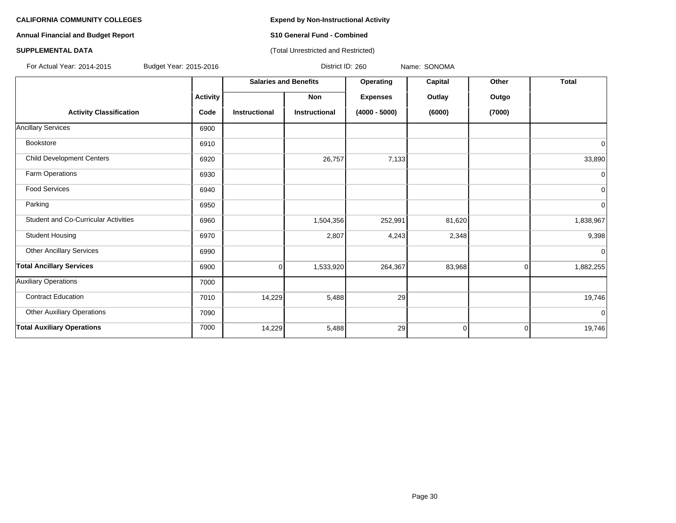# **Annual Financial and Budget Report S10 General Fund - Combined**

### **SUPPLEMENTAL DATA CONSERVATION CONSERVATION** (Total Unrestricted and Restricted)

For Actual Year: 2014-2015 Budget Year: 2015-2016 Product 10: 260 Name: SONOMA

|                                      |                 | <b>Salaries and Benefits</b> |                      | Operating       | Capital        | Other  | <b>Total</b>   |
|--------------------------------------|-----------------|------------------------------|----------------------|-----------------|----------------|--------|----------------|
|                                      | <b>Activity</b> |                              | Non                  | <b>Expenses</b> | Outlay         | Outgo  |                |
| <b>Activity Classification</b>       | Code            | <b>Instructional</b>         | <b>Instructional</b> | $(4000 - 5000)$ | (6000)         | (7000) |                |
| <b>Ancillary Services</b>            | 6900            |                              |                      |                 |                |        |                |
| Bookstore                            | 6910            |                              |                      |                 |                |        | 0              |
| <b>Child Development Centers</b>     | 6920            |                              | 26,757               | 7,133           |                |        | 33,890         |
| Farm Operations                      | 6930            |                              |                      |                 |                |        | 0              |
| <b>Food Services</b>                 | 6940            |                              |                      |                 |                |        | $\overline{0}$ |
| Parking                              | 6950            |                              |                      |                 |                |        | $\overline{0}$ |
| Student and Co-Curricular Activities | 6960            |                              | 1,504,356            | 252,991         | 81,620         |        | 1,838,967      |
| <b>Student Housing</b>               | 6970            |                              | 2,807                | 4,243           | 2,348          |        | 9,398          |
| <b>Other Ancillary Services</b>      | 6990            |                              |                      |                 |                |        | $\Omega$       |
| <b>Total Ancillary Services</b>      | 6900            | 0                            | 1,533,920            | 264,367         | 83,968         | 0      | 1,882,255      |
| <b>Auxiliary Operations</b>          | 7000            |                              |                      |                 |                |        |                |
| <b>Contract Education</b>            | 7010            | 14,229                       | 5,488                | 29              |                |        | 19,746         |
| <b>Other Auxiliary Operations</b>    | 7090            |                              |                      |                 |                |        | $\Omega$       |
| <b>Total Auxiliary Operations</b>    | 7000            | 14,229                       | 5,488                | 29              | $\overline{0}$ | 0      | 19,746         |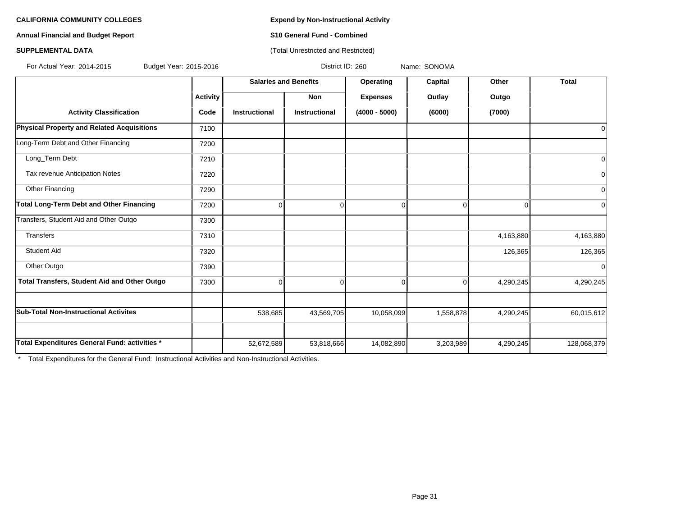**Annual Financial and Budget Report S10 General Fund - Combined**

### **SUPPLEMENTAL DATA CONSERVATION CONSERVATION** (Total Unrestricted and Restricted)

For Actual Year: 2014-2015 Budget Year: 2015-2016 District ID: 260 Name: SONOMA

|                                                 |                 | <b>Salaries and Benefits</b> |                      | Operating       | Capital   | Other     | <b>Total</b> |
|-------------------------------------------------|-----------------|------------------------------|----------------------|-----------------|-----------|-----------|--------------|
|                                                 | <b>Activity</b> |                              | Non                  | <b>Expenses</b> | Outlay    | Outgo     |              |
| <b>Activity Classification</b>                  | Code            | <b>Instructional</b>         | <b>Instructional</b> | $(4000 - 5000)$ | (6000)    | (7000)    |              |
| Physical Property and Related Acquisitions      | 7100            |                              |                      |                 |           |           | 0            |
| Long-Term Debt and Other Financing              | 7200            |                              |                      |                 |           |           |              |
| Long_Term Debt                                  | 7210            |                              |                      |                 |           |           | $\mathbf 0$  |
| Tax revenue Anticipation Notes                  | 7220            |                              |                      |                 |           |           | $\mathbf 0$  |
| Other Financing                                 | 7290            |                              |                      |                 |           |           | $\mathbf 0$  |
| <b>Total Long-Term Debt and Other Financing</b> | 7200            | $\Omega$                     | $\Omega$             |                 | $\Omega$  | $\Omega$  | $\Omega$     |
| Transfers, Student Aid and Other Outgo          | 7300            |                              |                      |                 |           |           |              |
| Transfers                                       | 7310            |                              |                      |                 |           | 4,163,880 | 4,163,880    |
| <b>Student Aid</b>                              | 7320            |                              |                      |                 |           | 126,365   | 126,365      |
| Other Outgo                                     | 7390            |                              |                      |                 |           |           | $\mathbf 0$  |
| Total Transfers, Student Aid and Other Outgo    | 7300            | $\Omega$                     | $\Omega$             | 0               | $\Omega$  | 4,290,245 | 4,290,245    |
|                                                 |                 |                              |                      |                 |           |           |              |
| <b>Sub-Total Non-Instructional Activites</b>    |                 | 538,685                      | 43,569,705           | 10,058,099      | 1,558,878 | 4,290,245 | 60,015,612   |
|                                                 |                 |                              |                      |                 |           |           |              |
| Total Expenditures General Fund: activities *   |                 | 52,672,589                   | 53,818,666           | 14,082,890      | 3,203,989 | 4,290,245 | 128,068,379  |

\* Total Expenditures for the General Fund: Instructional Activities and Non-Instructional Activities.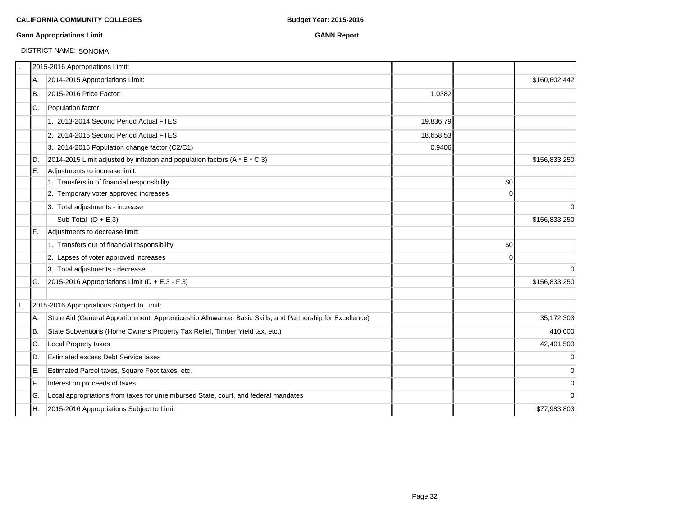### **Gann Appropriations Limit GANN Report**

# DISTRICT NAME: SONOMA

| Π.  |     | 2015-2016 Appropriations Limit:                                                                           |           |             |               |
|-----|-----|-----------------------------------------------------------------------------------------------------------|-----------|-------------|---------------|
|     | A.  | 2014-2015 Appropriations Limit:                                                                           |           |             | \$160,602,442 |
|     | IB. | 2015-2016 Price Factor:                                                                                   | 1.0382    |             |               |
|     | IC. | Population factor:                                                                                        |           |             |               |
|     |     | 1. 2013-2014 Second Period Actual FTES                                                                    | 19,836.79 |             |               |
|     |     | 2. 2014-2015 Second Period Actual FTES                                                                    | 18,658.53 |             |               |
|     |     | 3. 2014-2015 Population change factor (C2/C1)                                                             | 0.9406    |             |               |
|     | ID. | 2014-2015 Limit adjusted by inflation and population factors (A * B * C.3)                                |           |             | \$156,833,250 |
|     | IE. | Adjustments to increase limit:                                                                            |           |             |               |
|     |     | 1. Transfers in of financial responsibility                                                               |           | \$0         |               |
|     |     | 2. Temporary voter approved increases                                                                     |           | $\Omega$    |               |
|     |     | 3. Total adjustments - increase                                                                           |           |             | $\mathbf 0$   |
|     |     | Sub-Total $(D + E.3)$                                                                                     |           |             | \$156,833,250 |
|     | IF. | Adjustments to decrease limit:                                                                            |           |             |               |
|     |     | 1. Transfers out of financial responsibility                                                              |           | \$0         |               |
|     |     | 2. Lapses of voter approved increases                                                                     |           | $\mathbf 0$ |               |
|     |     | 3. Total adjustments - decrease                                                                           |           |             | $\Omega$      |
|     | IG. | 2015-2016 Appropriations Limit ( $D + E.3 - F.3$ )                                                        |           |             | \$156,833,250 |
| II. |     | 2015-2016 Appropriations Subject to Limit:                                                                |           |             |               |
|     | A.  | State Aid (General Apportionment, Apprenticeship Allowance, Basic Skills, and Partnership for Excellence) |           |             | 35,172,303    |
|     | lB. | State Subventions (Home Owners Property Tax Relief, Timber Yield tax, etc.)                               |           |             | 410,000       |
|     | C.  | Local Property taxes                                                                                      |           |             | 42,401,500    |
|     | ID. | Estimated excess Debt Service taxes                                                                       |           |             | $\mathbf 0$   |
|     | E.  | Estimated Parcel taxes, Square Foot taxes, etc.                                                           |           |             | $\mathbf 0$   |
|     | lF. | Interest on proceeds of taxes                                                                             |           |             | $\mathbf 0$   |
|     | lG. | Local appropriations from taxes for unreimbursed State, court, and federal mandates                       |           |             | $\Omega$      |
|     | IH. | 2015-2016 Appropriations Subject to Limit                                                                 |           |             | \$77,983,803  |
|     |     |                                                                                                           |           |             |               |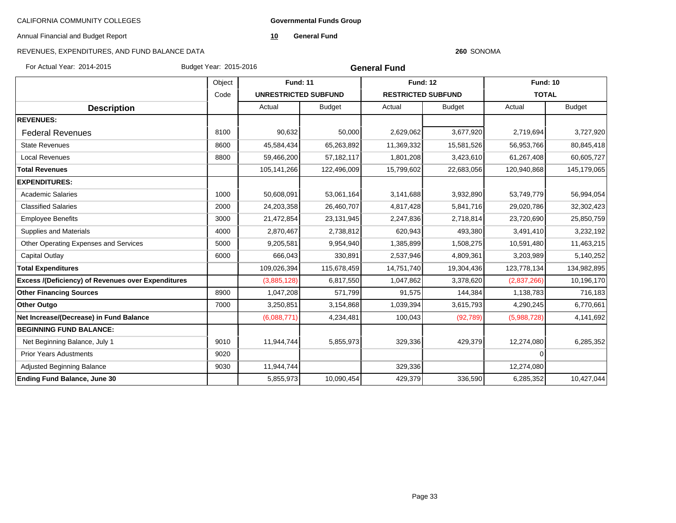**Governmental Funds Group**

Annual Financial and Budget Report

**10 General Fund**

# REVENUES, EXPENDITURES, AND FUND BALANCE DATA

#### **260** SONOMA

For Actual Year: 2014-2015 Budget Year: 2015-2016

**General Fund**

|                                                    | Object | <b>Fund: 11</b> |                             | <b>Fund: 12</b> |                           | <b>Fund: 10</b> |               |
|----------------------------------------------------|--------|-----------------|-----------------------------|-----------------|---------------------------|-----------------|---------------|
|                                                    | Code   |                 | <b>UNRESTRICTED SUBFUND</b> |                 | <b>RESTRICTED SUBFUND</b> | <b>TOTAL</b>    |               |
| <b>Description</b>                                 |        | Actual          | <b>Budget</b>               | Actual          | <b>Budget</b>             | Actual          | <b>Budget</b> |
| <b>REVENUES:</b>                                   |        |                 |                             |                 |                           |                 |               |
| <b>Federal Revenues</b>                            | 8100   | 90,632          | 50,000                      | 2,629,062       | 3,677,920                 | 2,719,694       | 3,727,920     |
| <b>State Revenues</b>                              | 8600   | 45,584,434      | 65,263,892                  | 11,369,332      | 15,581,526                | 56,953,766      | 80,845,418    |
| <b>Local Revenues</b>                              | 8800   | 59,466,200      | 57,182,117                  | 1,801,208       | 3,423,610                 | 61,267,408      | 60,605,727    |
| <b>Total Revenues</b>                              |        | 105,141,266     | 122,496,009                 | 15,799,602      | 22,683,056                | 120,940,868     | 145,179,065   |
| <b>EXPENDITURES:</b>                               |        |                 |                             |                 |                           |                 |               |
| <b>Academic Salaries</b>                           | 1000   | 50,608,091      | 53,061,164                  | 3,141,688       | 3,932,890                 | 53,749,779      | 56,994,054    |
| <b>Classified Salaries</b>                         | 2000   | 24,203,358      | 26,460,707                  | 4,817,428       | 5,841,716                 | 29,020,786      | 32,302,423    |
| <b>Employee Benefits</b>                           | 3000   | 21,472,854      | 23,131,945                  | 2,247,836       | 2,718,814                 | 23,720,690      | 25,850,759    |
| <b>Supplies and Materials</b>                      | 4000   | 2,870,467       | 2,738,812                   | 620,943         | 493,380                   | 3,491,410       | 3,232,192     |
| Other Operating Expenses and Services              | 5000   | 9,205,581       | 9,954,940                   | 1,385,899       | 1,508,275                 | 10,591,480      | 11,463,215    |
| Capital Outlay                                     | 6000   | 666,043         | 330,891                     | 2,537,946       | 4,809,361                 | 3,203,989       | 5,140,252     |
| <b>Total Expenditures</b>                          |        | 109,026,394     | 115,678,459                 | 14,751,740      | 19,304,436                | 123,778,134     | 134,982,895   |
| Excess /(Deficiency) of Revenues over Expenditures |        | (3,885,128)     | 6,817,550                   | 1,047,862       | 3,378,620                 | (2,837,266)     | 10,196,170    |
| <b>Other Financing Sources</b>                     | 8900   | 1,047,208       | 571,799                     | 91,575          | 144,384                   | 1,138,783       | 716,183       |
| <b>Other Outgo</b>                                 | 7000   | 3,250,851       | 3,154,868                   | 1,039,394       | 3,615,793                 | 4,290,245       | 6,770,661     |
| Net Increase/(Decrease) in Fund Balance            |        | (6,088,771)     | 4,234,481                   | 100,043         | (92, 789)                 | (5,988,728)     | 4,141,692     |
| <b>BEGINNING FUND BALANCE:</b>                     |        |                 |                             |                 |                           |                 |               |
| Net Beginning Balance, July 1                      | 9010   | 11,944,744      | 5,855,973                   | 329,336         | 429,379                   | 12,274,080      | 6,285,352     |
| <b>Prior Years Adustments</b>                      | 9020   |                 |                             |                 |                           | $\Omega$        |               |
| <b>Adjusted Beginning Balance</b>                  | 9030   | 11,944,744      |                             | 329,336         |                           | 12,274,080      |               |
| <b>Ending Fund Balance, June 30</b>                |        | 5,855,973       | 10,090,454                  | 429,379         | 336,590                   | 6,285,352       | 10,427,044    |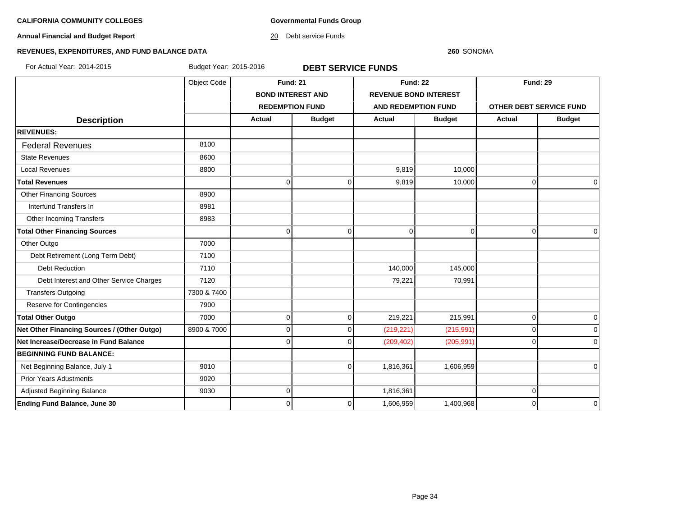**Governmental Funds Group**

**Annual Financial and Budget Report**

20 Debt service Funds

#### **260** SONOMA

# **REVENUES, EXPENDITURES, AND FUND BALANCE DATA**

For Actual Year: 2014-2015 Budget Year: 2015-2016 **DEBT SERVICE FUNDS**

|                                             | Object Code | <b>Fund: 21</b>          |               | <b>Fund: 22</b>              |                | <b>Fund: 29</b>         |               |
|---------------------------------------------|-------------|--------------------------|---------------|------------------------------|----------------|-------------------------|---------------|
|                                             |             | <b>BOND INTEREST AND</b> |               | <b>REVENUE BOND INTEREST</b> |                |                         |               |
|                                             |             | <b>REDEMPTION FUND</b>   |               | <b>AND REDEMPTION FUND</b>   |                | OTHER DEBT SERVICE FUND |               |
| <b>Description</b>                          |             | <b>Actual</b>            | <b>Budget</b> | <b>Actual</b>                | <b>Budget</b>  | Actual                  | <b>Budget</b> |
| <b>REVENUES:</b>                            |             |                          |               |                              |                |                         |               |
| <b>Federal Revenues</b>                     | 8100        |                          |               |                              |                |                         |               |
| <b>State Revenues</b>                       | 8600        |                          |               |                              |                |                         |               |
| <b>Local Revenues</b>                       | 8800        |                          |               | 9.819                        | 10,000         |                         |               |
| <b>Total Revenues</b>                       |             | <sup>0</sup>             | $\mathbf 0$   | 9,819                        | 10,000         | $\mathbf 0$             | $\mathbf 0$   |
| <b>Other Financing Sources</b>              | 8900        |                          |               |                              |                |                         |               |
| Interfund Transfers In                      | 8981        |                          |               |                              |                |                         |               |
| Other Incoming Transfers                    | 8983        |                          |               |                              |                |                         |               |
| <b>Total Other Financing Sources</b>        |             | $\Omega$                 | $\Omega$      | $\mathbf 0$                  | $\overline{0}$ | $\overline{0}$          | $\Omega$      |
| Other Outgo                                 | 7000        |                          |               |                              |                |                         |               |
| Debt Retirement (Long Term Debt)            | 7100        |                          |               |                              |                |                         |               |
| <b>Debt Reduction</b>                       | 7110        |                          |               | 140,000                      | 145,000        |                         |               |
| Debt Interest and Other Service Charges     | 7120        |                          |               | 79,221                       | 70,991         |                         |               |
| <b>Transfers Outgoing</b>                   | 7300 & 7400 |                          |               |                              |                |                         |               |
| Reserve for Contingencies                   | 7900        |                          |               |                              |                |                         |               |
| <b>Total Other Outgo</b>                    | 7000        | $\Omega$                 | $\mathbf 0$   | 219,221                      | 215,991        | $\overline{0}$          | $\mathbf 0$   |
| Net Other Financing Sources / (Other Outgo) | 8900 & 7000 | $\Omega$                 | $\Omega$      | (219, 221)                   | (215, 991)     | $\overline{0}$          | $\Omega$      |
| Net Increase/Decrease in Fund Balance       |             |                          | U             | (209, 402)                   | (205, 991)     | $\Omega$                | $\Omega$      |
| <b>BEGINNING FUND BALANCE:</b>              |             |                          |               |                              |                |                         |               |
| Net Beginning Balance, July 1               | 9010        |                          | $\Omega$      | 1,816,361                    | 1,606,959      |                         | $\Omega$      |
| <b>Prior Years Adustments</b>               | 9020        |                          |               |                              |                |                         |               |
| Adjusted Beginning Balance                  | 9030        | ∩                        |               | 1,816,361                    |                | 0                       |               |
| <b>Ending Fund Balance, June 30</b>         |             | 0                        | 0             | 1,606,959                    | 1,400,968      | $\mathbf 0$             | $\mathbf 0$   |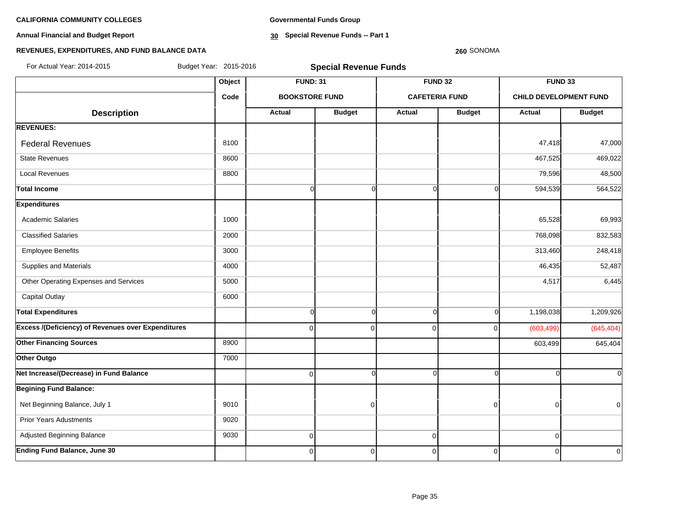**Annual Financial and Budget Report**

**Governmental Funds Group**

**30 Special Revenue Funds -- Part 1**

#### **260** SONOMA

| For Actual Year: 2014-2015                                | Budget Year: 2015-2016 |                       | <b>Special Revenue Funds</b> |                |                       |                               |                |
|-----------------------------------------------------------|------------------------|-----------------------|------------------------------|----------------|-----------------------|-------------------------------|----------------|
|                                                           | Object                 | <b>FUND: 31</b>       |                              |                | <b>FUND 32</b>        | FUND 33                       |                |
|                                                           | Code                   | <b>BOOKSTORE FUND</b> |                              |                | <b>CAFETERIA FUND</b> | <b>CHILD DEVELOPMENT FUND</b> |                |
| <b>Description</b>                                        |                        | <b>Actual</b>         | <b>Budget</b>                | <b>Actual</b>  | <b>Budget</b>         | <b>Actual</b>                 | <b>Budget</b>  |
| <b>REVENUES:</b>                                          |                        |                       |                              |                |                       |                               |                |
| <b>Federal Revenues</b>                                   | 8100                   |                       |                              |                |                       | 47,418                        | 47,000         |
| <b>State Revenues</b>                                     | 8600                   |                       |                              |                |                       | 467,525                       | 469,022        |
| <b>Local Revenues</b>                                     | 8800                   |                       |                              |                |                       | 79,596                        | 48,500         |
| <b>Total Income</b>                                       |                        | $\overline{0}$        | $\overline{0}$               | $\overline{0}$ | $\overline{O}$        | 594,539                       | 564,522        |
| <b>Expenditures</b>                                       |                        |                       |                              |                |                       |                               |                |
| <b>Academic Salaries</b>                                  | 1000                   |                       |                              |                |                       | 65,528                        | 69,993         |
| <b>Classified Salaries</b>                                | 2000                   |                       |                              |                |                       | 768,098                       | 832,583        |
| <b>Employee Benefits</b>                                  | 3000                   |                       |                              |                |                       | 313,460                       | 248,418        |
| Supplies and Materials                                    | 4000                   |                       |                              |                |                       | 46,435                        | 52,487         |
| Other Operating Expenses and Services                     | 5000                   |                       |                              |                |                       | 4,517                         | 6,445          |
| <b>Capital Outlay</b>                                     | 6000                   |                       |                              |                |                       |                               |                |
| <b>Total Expenditures</b>                                 |                        | $\overline{0}$        | $\overline{0}$               | $\Omega$       | $\Omega$              | 1,198,038                     | 1,209,926      |
| <b>Excess /(Deficiency) of Revenues over Expenditures</b> |                        | $\overline{0}$        | $\pmb{0}$                    | $\Omega$       | $\Omega$              | (603, 499)                    | (645, 404)     |
| <b>Other Financing Sources</b>                            | 8900                   |                       |                              |                |                       | 603,499                       | 645,404        |
| Other Outgo                                               | 7000                   |                       |                              |                |                       |                               |                |
| Net Increase/(Decrease) in Fund Balance                   |                        | $\overline{0}$        | $\Omega$                     |                | $\Omega$              |                               | $\Omega$       |
| <b>Begining Fund Balance:</b>                             |                        |                       |                              |                |                       |                               |                |
| Net Beginning Balance, July 1                             | 9010                   |                       | $\mathbf 0$                  |                | $\Omega$              | ∩                             | $\overline{0}$ |
| <b>Prior Years Adustments</b>                             | 9020                   |                       |                              |                |                       |                               |                |
| Adjusted Beginning Balance                                | 9030                   | $\overline{0}$        |                              | $\overline{0}$ |                       | $\Omega$                      |                |
| <b>Ending Fund Balance, June 30</b>                       |                        | $\overline{0}$        | $\pmb{0}$                    | $\overline{0}$ | $\mathbf 0$           | $\overline{0}$                | $\overline{0}$ |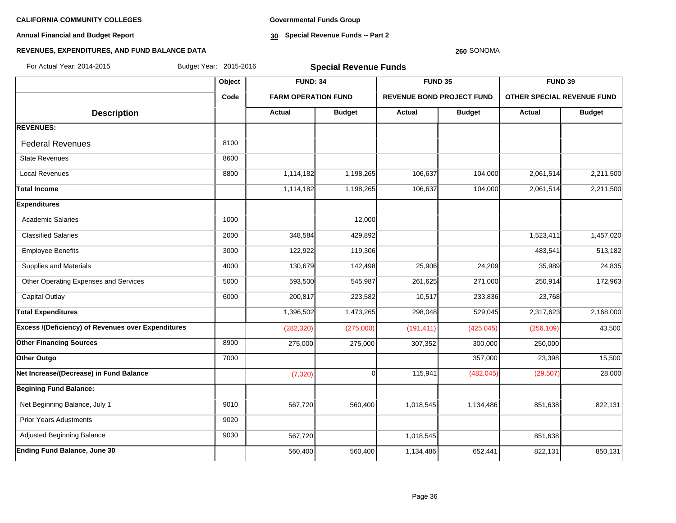**Annual Financial and Budget Report**

**Governmental Funds Group**

**30 Special Revenue Funds -- Part 2**

#### **260** SONOMA

| For Actual Year: 2014-2015                         | Budget Year: 2015-2016 | <b>Special Revenue Funds</b> |               |                                  |               |                            |               |  |
|----------------------------------------------------|------------------------|------------------------------|---------------|----------------------------------|---------------|----------------------------|---------------|--|
|                                                    | Object                 | <b>FUND: 34</b>              |               | FUND 35                          |               | FUND 39                    |               |  |
|                                                    | Code                   | <b>FARM OPERATION FUND</b>   |               | <b>REVENUE BOND PROJECT FUND</b> |               | OTHER SPECIAL REVENUE FUND |               |  |
| <b>Description</b>                                 |                        | <b>Actual</b>                | <b>Budget</b> | Actual                           | <b>Budget</b> | Actual                     | <b>Budget</b> |  |
| <b>REVENUES:</b>                                   |                        |                              |               |                                  |               |                            |               |  |
| <b>Federal Revenues</b>                            | 8100                   |                              |               |                                  |               |                            |               |  |
| <b>State Revenues</b>                              | 8600                   |                              |               |                                  |               |                            |               |  |
| <b>Local Revenues</b>                              | 8800                   | 1,114,182                    | 1,198,265     | 106,637                          | 104,000       | 2,061,514                  | 2,211,500     |  |
| <b>Total Income</b>                                |                        | 1,114,182                    | 1,198,265     | 106,637                          | 104,000       | 2,061,514                  | 2,211,500     |  |
| <b>Expenditures</b>                                |                        |                              |               |                                  |               |                            |               |  |
| <b>Academic Salaries</b>                           | 1000                   |                              | 12,000        |                                  |               |                            |               |  |
| <b>Classified Salaries</b>                         | 2000                   | 348,584                      | 429,892       |                                  |               | 1,523,411                  | 1,457,020     |  |
| <b>Employee Benefits</b>                           | 3000                   | 122,922                      | 119,306       |                                  |               | 483,541                    | 513,182       |  |
| Supplies and Materials                             | 4000                   | 130,679                      | 142,498       | 25,906                           | 24,209        | 35,989                     | 24,835        |  |
| Other Operating Expenses and Services              | 5000                   | 593,500                      | 545,987       | 261,625                          | 271,000       | 250,914                    | 172,963       |  |
| <b>Capital Outlay</b>                              | 6000                   | 200,817                      | 223,582       | 10,517                           | 233,836       | 23,768                     |               |  |
| <b>Total Expenditures</b>                          |                        | 1,396,502                    | 1,473,265     | 298,048                          | 529,045       | 2,317,623                  | 2,168,000     |  |
| Excess /(Deficiency) of Revenues over Expenditures |                        | (282, 320)                   | (275,000)     | (191, 411)                       | (425, 045)    | (256, 109)                 | 43,500        |  |
| <b>Other Financing Sources</b>                     | 8900                   | 275,000                      | 275,000       | 307,352                          | 300,000       | 250,000                    |               |  |
| Other Outgo                                        | 7000                   |                              |               |                                  | 357,000       | 23,398                     | 15,500        |  |
| Net Increase/(Decrease) in Fund Balance            |                        | (7, 320)                     | $\Omega$      | 115,941                          | (482, 045)    | (29, 507)                  | 28,000        |  |
| <b>Begining Fund Balance:</b>                      |                        |                              |               |                                  |               |                            |               |  |
| Net Beginning Balance, July 1                      | 9010                   | 567,720                      | 560,400       | 1,018,545                        | 1,134,486     | 851,638                    | 822,131       |  |
| <b>Prior Years Adustments</b>                      | 9020                   |                              |               |                                  |               |                            |               |  |
| Adjusted Beginning Balance                         | 9030                   | 567,720                      |               | 1,018,545                        |               | 851,638                    |               |  |
| Ending Fund Balance, June 30                       |                        | 560,400                      | 560,400       | 1,134,486                        | 652,441       | 822,131                    | 850,131       |  |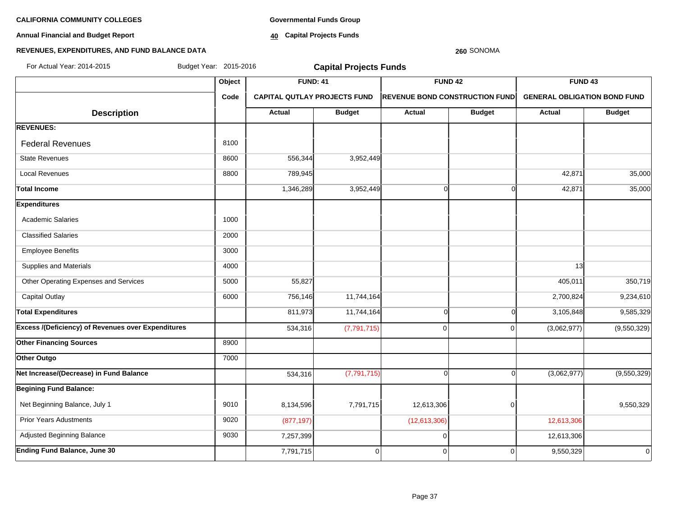**Annual Financial and Budget Report**

**Governmental Funds Group**

**40 Capital Projects Funds**

#### **REVENUES, EXPENDITURES, AND FUND BALANCE DATA**

# **Object FUND: 41 FUND 42 FUND 43 Code CAPITAL QUTLAY PROJECTS FUND REVENUE BOND CONSTRUCTION FUND GENERAL OBLIGATION BOND FUND**  $\begin{array}{|c|c|c|c|c|c|}\n\hline\n\textbf{A} & \textbf{A} & \textbf{B} & \textbf{B} & \textbf{B} & \textbf{B} & \textbf{B} & \textbf{B} & \textbf{B} & \textbf{B} & \textbf{B} & \textbf{B} & \textbf{B} & \textbf{B} & \textbf{B} & \textbf{B} & \textbf{B} & \textbf{B} & \textbf{B} & \textbf{B} & \textbf{B} & \textbf{B} & \textbf{B} & \textbf{B} & \textbf{B} & \textbf{B} & \textbf{B} & \textbf{B} & \$ **REVENUES:** Federal Revenues 8100 State Revenues 8600 556,344 3,952,449 Local Revenues 8800 789,945 42,871 35,000 **Total Income** 1,346,289 3,952,449 0 0 42,871 35,000 **Expenditures** Academic Salaries 1000 and 1000 Classified Salaries 2000 Employee Benefits 3000 Supplies and Materials 4000 13 Other Operating Expenses and Services 5000 55,827 405,011 350,719 Capital Outlay 6000 756,146 11,744,164 2,700,824 9,234,610 Total Expenditures 811,973| 11,744,164| 0| 3,105,848| 9,585,329 **Excess /(Deficiency) of Revenues over Expenditures** (1.794,316 (7,791,715) (7,791,715) (9,850,329) (9,550,329) **Other Financing Sources** 8900 **Other Outgo** 7000 **Net Increase/(Decrease) in Fund Balance** 534.316 7,791,715) (9,550,329) **Begining Fund Balance:** Net Beginning Balance, July 1 9550.329 | 9010 | 8.134.596 | 7.791.715 | 12.613.306 | 0 | 9.550.329 Prior Years Adustments **12,613,306** (877,197) (12,613,306) 12,613,306 Adjusted Beginning Balance **12,613,306** 12,613,306 13,613,999 12,613,306 12,613,306 12,613,306 **Ending Fund Balance, June 30** 7,791,715 0 0 0 9,550,329 0 For Actual Year: 2014-2015 Budget Year: 2015-2016 **Capital Projects Funds**

**260** SONOMA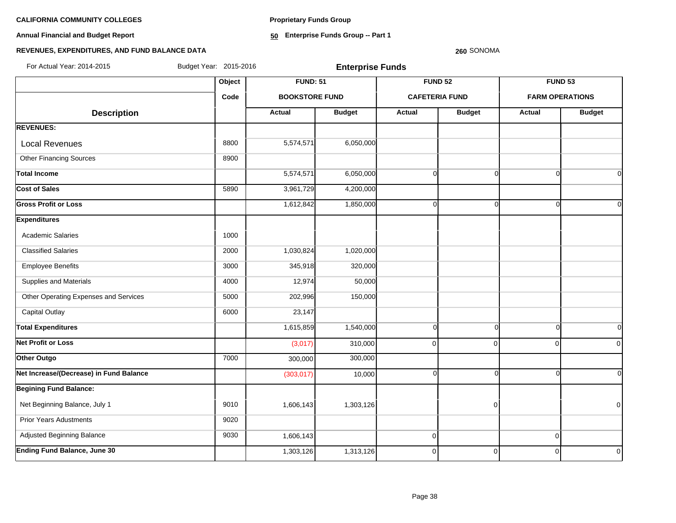**Proprietary Funds Group**

**Annual Financial and Budget Report**

**50 Enterprise Funds Group -- Part 1**

### **REVENUES, EXPENDITURES, AND FUND BALANCE DATA**

#### **260** SONOMA

**Object FUND: 51 FUND 52 FUND 53 Code BOOKSTORE FUND CAFETERIA FUND FARM OPERATIONS**  $\begin{array}{|c|c|c|c|c|c|}\n \hline\n \text{Description} & & \text{Actual} & \text{Actual} & \text{Budget} & \text{Actual} & \text{Budget} & \text{Actual} & \text{Budget} \end{array}$ **REVENUES:** Local Revenues 8800  $\vert$  8800  $\vert$  5,574,571 6,050,000 Other Financing Sources 8900 Total Income 5,574,571| 6,050,000| 0| 0 **Cost of Sales** 5890 3,961,729 4,200,000 Gross Profit or Loss 1,612,842| 1,850,000| 0| 0| 0 **Expenditures** Academic Salaries 1000 Classified Salaries 2000 1,030,824 1,020,000 Employee Benefits 3000 345,918 320,000 Supplies and Materials **12,974** 50,000 12,974 50,000 Other Operating Expenses and Services 15000 15000 202,996 150,000 Capital Outlay 23,147 Total Expenditures 1,615,859**| 1,540,000| 0**| 0 **Net Profit or Loss** (3,017) 310,000 0 0 0 0 **Other Outgo** 7000 300,000 300,000 **Net Increase/(Decrease) in Fund Balance** (303,017) 10,000 0 0 0 0 **Begining Fund Balance:** Net Beginning Balance, July 1 9010 1,606,143 1,303,126 0 0 Prior Years Adustments **9020**  Adjusted Beginning Balance 9030 1,606,143 0 0 For Actual Year: 2014-2015 Budget Year: 2015-2016 **Enterprise Funds**

**Ending Fund Balance, June 30** 1,303,126 1,313,126 0 0 0 0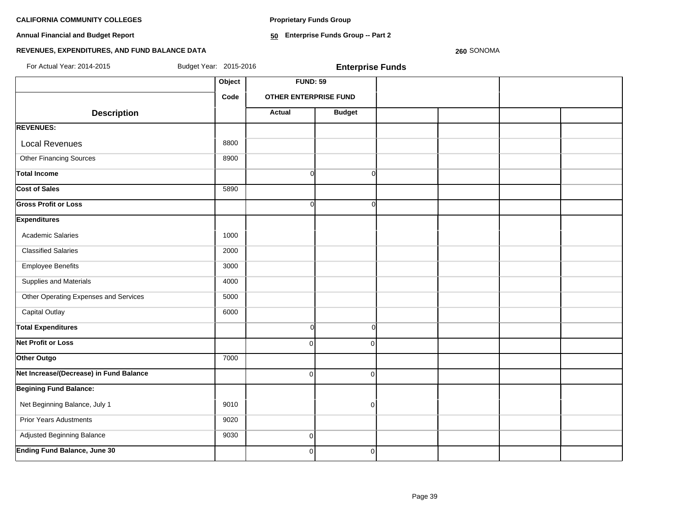**Proprietary Funds Group**

**Annual Financial and Budget Report**

**50 Enterprise Funds Group -- Part 2**

# **REVENUES, EXPENDITURES, AND FUND BALANCE DATA**

**260** SONOMA

| For Actual Year: 2014-2015              | Budget Year: 2015-2016 |                              | <b>Enterprise Funds</b> |  |  |
|-----------------------------------------|------------------------|------------------------------|-------------------------|--|--|
|                                         | Object                 | <b>FUND: 59</b>              |                         |  |  |
|                                         | Code                   | <b>OTHER ENTERPRISE FUND</b> |                         |  |  |
| <b>Description</b>                      |                        | <b>Actual</b>                | <b>Budget</b>           |  |  |
| <b>REVENUES:</b>                        |                        |                              |                         |  |  |
| <b>Local Revenues</b>                   | 8800                   |                              |                         |  |  |
| <b>Other Financing Sources</b>          | 8900                   |                              |                         |  |  |
| <b>Total Income</b>                     |                        | $\Omega$                     | $\Omega$                |  |  |
| <b>Cost of Sales</b>                    | 5890                   |                              |                         |  |  |
| <b>Gross Profit or Loss</b>             |                        | $\Omega$                     | $\Omega$                |  |  |
| <b>Expenditures</b>                     |                        |                              |                         |  |  |
| <b>Academic Salaries</b>                | 1000                   |                              |                         |  |  |
| <b>Classified Salaries</b>              | 2000                   |                              |                         |  |  |
| <b>Employee Benefits</b>                | 3000                   |                              |                         |  |  |
| Supplies and Materials                  | 4000                   |                              |                         |  |  |
| Other Operating Expenses and Services   | 5000                   |                              |                         |  |  |
| <b>Capital Outlay</b>                   | 6000                   |                              |                         |  |  |
| <b>Total Expenditures</b>               |                        | $\Omega$                     | $\Omega$                |  |  |
| <b>Net Profit or Loss</b>               |                        | $\Omega$                     | $\Omega$                |  |  |
| Other Outgo                             | 7000                   |                              |                         |  |  |
| Net Increase/(Decrease) in Fund Balance |                        | $\Omega$                     | $\Omega$                |  |  |
| <b>Begining Fund Balance:</b>           |                        |                              |                         |  |  |
| Net Beginning Balance, July 1           | 9010                   |                              | $\overline{0}$          |  |  |
| <b>Prior Years Adustments</b>           | 9020                   |                              |                         |  |  |
| Adjusted Beginning Balance              | 9030                   | $\overline{0}$               |                         |  |  |
| <b>Ending Fund Balance, June 30</b>     |                        | $\mathbf{0}$                 | $\overline{0}$          |  |  |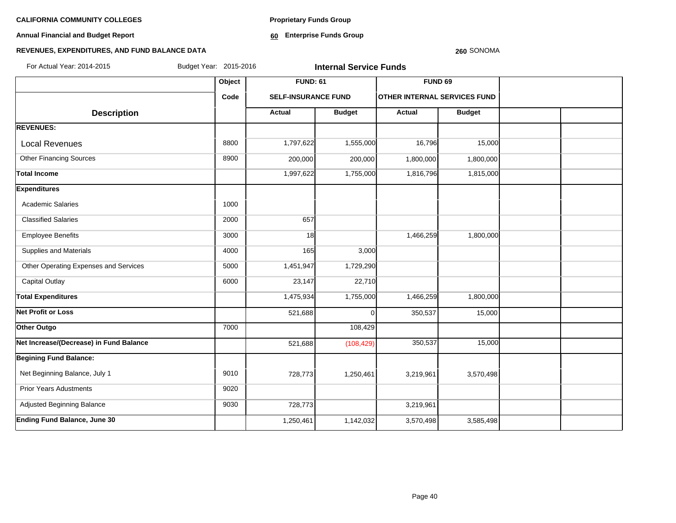**Annual Financial and Budget Report**

**Proprietary Funds Group**

**60 Enterprise Funds Group** 

#### **260** SONOMA

| For Actual Year: 2014-2015              | Budget Year: 2015-2016 |                            | <b>Internal Service Funds</b> |                                     |               |  |
|-----------------------------------------|------------------------|----------------------------|-------------------------------|-------------------------------------|---------------|--|
|                                         | Object                 | <b>FUND: 61</b>            |                               | FUND <sub>69</sub>                  |               |  |
|                                         | Code                   | <b>SELF-INSURANCE FUND</b> |                               | <b>OTHER INTERNAL SERVICES FUND</b> |               |  |
| <b>Description</b>                      |                        | <b>Actual</b>              | <b>Budget</b>                 | Actual                              | <b>Budget</b> |  |
| <b>REVENUES:</b>                        |                        |                            |                               |                                     |               |  |
| <b>Local Revenues</b>                   | 8800                   | 1,797,622                  | 1,555,000                     | 16,796                              | 15,000        |  |
| <b>Other Financing Sources</b>          | 8900                   | 200,000                    | 200,000                       | 1,800,000                           | 1,800,000     |  |
| <b>Total Income</b>                     |                        | 1,997,622                  | 1,755,000                     | 1,816,796                           | 1,815,000     |  |
| <b>Expenditures</b>                     |                        |                            |                               |                                     |               |  |
| <b>Academic Salaries</b>                | 1000                   |                            |                               |                                     |               |  |
| <b>Classified Salaries</b>              | 2000                   | 657                        |                               |                                     |               |  |
| <b>Employee Benefits</b>                | 3000                   | 18                         |                               | 1,466,259                           | 1,800,000     |  |
| Supplies and Materials                  | 4000                   | <b>165</b>                 | 3,000                         |                                     |               |  |
| Other Operating Expenses and Services   | 5000                   | 1,451,947                  | 1,729,290                     |                                     |               |  |
| <b>Capital Outlay</b>                   | 6000                   | 23,147                     | 22,710                        |                                     |               |  |
| <b>Total Expenditures</b>               |                        | 1,475,934                  | 1,755,000                     | 1,466,259                           | 1,800,000     |  |
| <b>Net Profit or Loss</b>               |                        | 521,688                    | $\Omega$                      | 350,537                             | 15,000        |  |
| Other Outgo                             | 7000                   |                            | 108,429                       |                                     |               |  |
| Net Increase/(Decrease) in Fund Balance |                        | 521,688                    | (108, 429)                    | 350,537                             | 15,000        |  |
| <b>Begining Fund Balance:</b>           |                        |                            |                               |                                     |               |  |
| Net Beginning Balance, July 1           | 9010                   | 728,773                    | 1,250,461                     | 3,219,961                           | 3,570,498     |  |
| <b>Prior Years Adustments</b>           | 9020                   |                            |                               |                                     |               |  |
| Adjusted Beginning Balance              | 9030                   | 728,773                    |                               | 3,219,961                           |               |  |
| <b>Ending Fund Balance, June 30</b>     |                        | 1,250,461                  | 1,142,032                     | 3,570,498                           | 3,585,498     |  |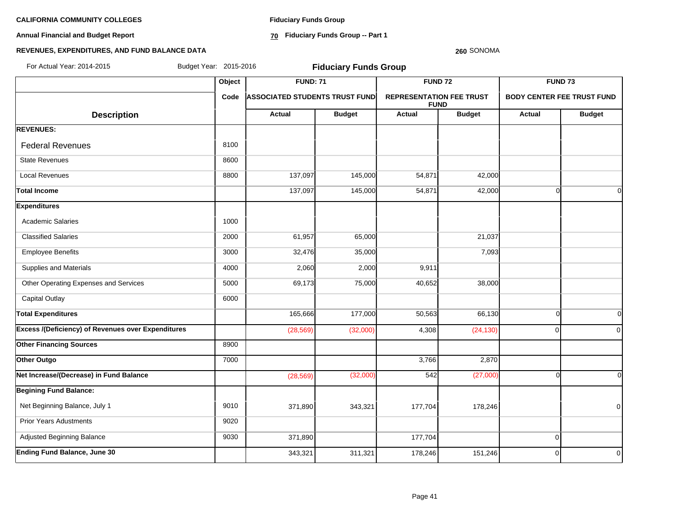**Annual Financial and Budget Report**

**Fiduciary Funds Group**

**70 Fiduciary Funds Group -- Part 1**

# **260** SONOMA

| For Actual Year: 2014-2015                         | Budget Year: 2015-2016 |                                       | <b>Fiduciary Funds Group</b> |                                                |               |                                   |                |
|----------------------------------------------------|------------------------|---------------------------------------|------------------------------|------------------------------------------------|---------------|-----------------------------------|----------------|
|                                                    | Object                 | <b>FUND: 71</b>                       |                              | <b>FUND 72</b>                                 |               | <b>FUND 73</b>                    |                |
|                                                    | Code                   | <b>ASSOCIATED STUDENTS TRUST FUND</b> |                              | <b>REPRESENTATION FEE TRUST</b><br><b>FUND</b> |               | <b>BODY CENTER FEE TRUST FUND</b> |                |
| <b>Description</b>                                 |                        | Actual                                | <b>Budget</b>                | <b>Actual</b>                                  | <b>Budget</b> | <b>Actual</b>                     | <b>Budget</b>  |
| <b>REVENUES:</b>                                   |                        |                                       |                              |                                                |               |                                   |                |
| <b>Federal Revenues</b>                            | 8100                   |                                       |                              |                                                |               |                                   |                |
| <b>State Revenues</b>                              | 8600                   |                                       |                              |                                                |               |                                   |                |
| <b>Local Revenues</b>                              | 8800                   | 137,097                               | 145,000                      | 54,871                                         | 42,000        |                                   |                |
| <b>Total Income</b>                                |                        | 137,097                               | 145,000                      | 54,871                                         | 42,000        | $\Omega$                          | $\overline{0}$ |
| <b>Expenditures</b>                                |                        |                                       |                              |                                                |               |                                   |                |
| <b>Academic Salaries</b>                           | 1000                   |                                       |                              |                                                |               |                                   |                |
| <b>Classified Salaries</b>                         | 2000                   | 61,957                                | 65,000                       |                                                | 21,037        |                                   |                |
| <b>Employee Benefits</b>                           | 3000                   | 32,476                                | 35,000                       |                                                | 7,093         |                                   |                |
| Supplies and Materials                             | 4000                   | 2,060                                 | 2,000                        | 9,911                                          |               |                                   |                |
| Other Operating Expenses and Services              | 5000                   | 69,173                                | 75,000                       | 40,652                                         | 38,000        |                                   |                |
| <b>Capital Outlay</b>                              | 6000                   |                                       |                              |                                                |               |                                   |                |
| <b>Total Expenditures</b>                          |                        | 165,666                               | 177,000                      | 50,563                                         | 66,130        | $\Omega$                          | $\Omega$       |
| Excess /(Deficiency) of Revenues over Expenditures |                        | (28, 569)                             | (32,000)                     | 4,308                                          | (24, 130)     | $\Omega$                          | $\overline{0}$ |
| <b>Other Financing Sources</b>                     | 8900                   |                                       |                              |                                                |               |                                   |                |
| Other Outgo                                        | 7000                   |                                       |                              | 3,766                                          | 2,870         |                                   |                |
| Net Increase/(Decrease) in Fund Balance            |                        | (28, 569)                             | (32,000)                     | 542                                            | (27,000)      | $\Omega$                          | $\overline{0}$ |
| <b>Begining Fund Balance:</b>                      |                        |                                       |                              |                                                |               |                                   |                |
| Net Beginning Balance, July 1                      | 9010                   | 371,890                               | 343,321                      | 177,704                                        | 178,246       |                                   | $\overline{0}$ |
| <b>Prior Years Adustments</b>                      | 9020                   |                                       |                              |                                                |               |                                   |                |
| Adjusted Beginning Balance                         | 9030                   | 371,890                               |                              | 177,704                                        |               | $\overline{0}$                    |                |
| <b>Ending Fund Balance, June 30</b>                |                        | 343,321                               | 311,321                      | 178,246                                        | 151,246       | $\Omega$                          | $\overline{0}$ |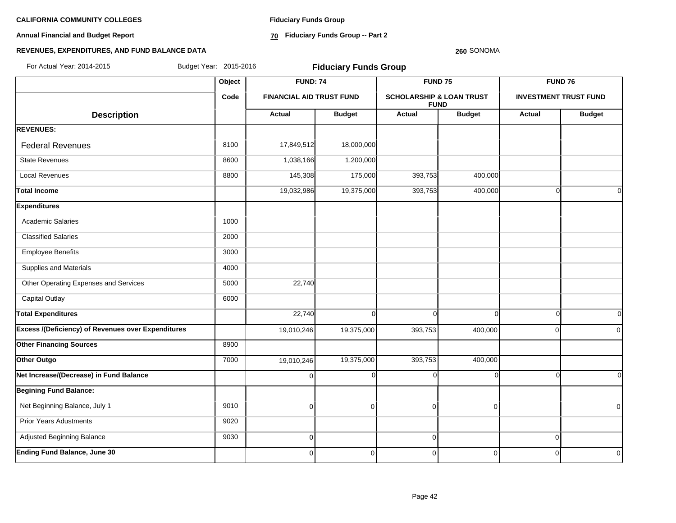**Annual Financial and Budget Report**

**Fiduciary Funds Group**

**70 Fiduciary Funds Group -- Part 2**

#### **260** SONOMA

| For Actual Year: 2014-2015                                | Budget Year: 2015-2016<br><b>Fiduciary Funds Group</b> |                 |                                 |                    |                                                    |                    |                              |
|-----------------------------------------------------------|--------------------------------------------------------|-----------------|---------------------------------|--------------------|----------------------------------------------------|--------------------|------------------------------|
|                                                           | Object                                                 | <b>FUND: 74</b> |                                 | FUND <sub>75</sub> |                                                    | FUND <sub>76</sub> |                              |
|                                                           | Code                                                   |                 | <b>FINANCIAL AID TRUST FUND</b> |                    | <b>SCHOLARSHIP &amp; LOAN TRUST</b><br><b>FUND</b> |                    | <b>INVESTMENT TRUST FUND</b> |
| <b>Description</b>                                        |                                                        | <b>Actual</b>   | <b>Budget</b>                   | Actual             | <b>Budget</b>                                      | Actual             | <b>Budget</b>                |
| <b>REVENUES:</b>                                          |                                                        |                 |                                 |                    |                                                    |                    |                              |
| <b>Federal Revenues</b>                                   | 8100                                                   | 17,849,512      | 18,000,000                      |                    |                                                    |                    |                              |
| <b>State Revenues</b>                                     | 8600                                                   | 1,038,166       | 1,200,000                       |                    |                                                    |                    |                              |
| <b>Local Revenues</b>                                     | 8800                                                   | 145,308         | 175,000                         | 393,753            | 400,000                                            |                    |                              |
| <b>Total Income</b>                                       |                                                        | 19,032,986      | 19,375,000                      | 393,753            | 400,000                                            | $\Omega$           | $\Omega$                     |
| <b>Expenditures</b>                                       |                                                        |                 |                                 |                    |                                                    |                    |                              |
| <b>Academic Salaries</b>                                  | 1000                                                   |                 |                                 |                    |                                                    |                    |                              |
| <b>Classified Salaries</b>                                | 2000                                                   |                 |                                 |                    |                                                    |                    |                              |
| <b>Employee Benefits</b>                                  | 3000                                                   |                 |                                 |                    |                                                    |                    |                              |
| Supplies and Materials                                    | 4000                                                   |                 |                                 |                    |                                                    |                    |                              |
| Other Operating Expenses and Services                     | 5000                                                   | 22,740          |                                 |                    |                                                    |                    |                              |
| <b>Capital Outlay</b>                                     | 6000                                                   |                 |                                 |                    |                                                    |                    |                              |
| <b>Total Expenditures</b>                                 |                                                        | 22,740          | $\Omega$                        | $\Omega$           | $\Omega$                                           | $\Omega$           | $\Omega$                     |
| <b>Excess /(Deficiency) of Revenues over Expenditures</b> |                                                        | 19,010,246      | 19,375,000                      | 393,753            | 400,000                                            | $\Omega$           | $\Omega$                     |
| <b>Other Financing Sources</b>                            | 8900                                                   |                 |                                 |                    |                                                    |                    |                              |
| Other Outgo                                               | 7000                                                   | 19,010,246      | 19,375,000                      | 393,753            | 400,000                                            |                    |                              |
| Net Increase/(Decrease) in Fund Balance                   |                                                        | $\overline{0}$  | $\Omega$                        | $\Omega$           | ∩                                                  | ſ                  | $\Omega$                     |
| <b>Begining Fund Balance:</b>                             |                                                        |                 |                                 |                    |                                                    |                    |                              |
| Net Beginning Balance, July 1                             | 9010                                                   | $\overline{0}$  | $\Omega$                        | $\mathbf 0$        | $\Omega$                                           |                    | $\Omega$                     |
| <b>Prior Years Adustments</b>                             | 9020                                                   |                 |                                 |                    |                                                    |                    |                              |
| Adjusted Beginning Balance                                | 9030                                                   | $\overline{0}$  |                                 | $\mathbf 0$        |                                                    | $\overline{0}$     |                              |
| <b>Ending Fund Balance, June 30</b>                       |                                                        | $\overline{0}$  | $\Omega$                        | $\mathbf 0$        | $\Omega$                                           | $\Omega$           | $\overline{0}$               |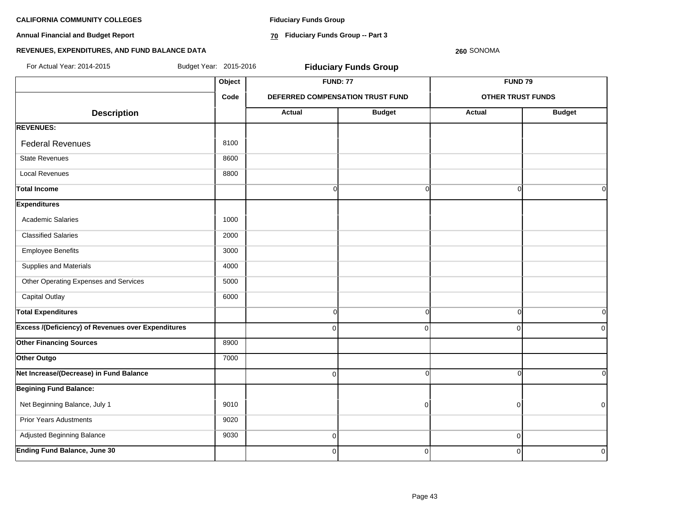**Annual Financial and Budget Report**

**Fiduciary Funds Group**

**70 Fiduciary Funds Group -- Part 3**

**260** SONOMA

| For Actual Year: 2014-2015                                | Budget Year: 2015-2016 |                | <b>Fiduciary Funds Group</b>     |                          |               |  |
|-----------------------------------------------------------|------------------------|----------------|----------------------------------|--------------------------|---------------|--|
|                                                           | Object                 |                | <b>FUND: 77</b>                  | <b>FUND 79</b>           |               |  |
|                                                           | Code                   |                | DEFERRED COMPENSATION TRUST FUND | <b>OTHER TRUST FUNDS</b> |               |  |
| <b>Description</b>                                        |                        | <b>Actual</b>  | <b>Budget</b>                    | <b>Actual</b>            | <b>Budget</b> |  |
| <b>REVENUES:</b>                                          |                        |                |                                  |                          |               |  |
| <b>Federal Revenues</b>                                   | 8100                   |                |                                  |                          |               |  |
| <b>State Revenues</b>                                     | 8600                   |                |                                  |                          |               |  |
| <b>Local Revenues</b>                                     | 8800                   |                |                                  |                          |               |  |
| <b>Total Income</b>                                       |                        | $\Omega$       | $\Omega$                         | $\Omega$                 | 0I            |  |
| <b>Expenditures</b>                                       |                        |                |                                  |                          |               |  |
| <b>Academic Salaries</b>                                  | 1000                   |                |                                  |                          |               |  |
| <b>Classified Salaries</b>                                | 2000                   |                |                                  |                          |               |  |
| <b>Employee Benefits</b>                                  | 3000                   |                |                                  |                          |               |  |
| Supplies and Materials                                    | 4000                   |                |                                  |                          |               |  |
| Other Operating Expenses and Services                     | 5000                   |                |                                  |                          |               |  |
| Capital Outlay                                            | 6000                   |                |                                  |                          |               |  |
| <b>Total Expenditures</b>                                 |                        | <sub>0</sub>   | $\overline{0}$                   | $\Omega$                 | 0l            |  |
| <b>Excess /(Deficiency) of Revenues over Expenditures</b> |                        | $\Omega$       | $\Omega$                         | $\mathbf 0$              | 0             |  |
| <b>Other Financing Sources</b>                            | 8900                   |                |                                  |                          |               |  |
| Other Outgo                                               | 7000                   |                |                                  |                          |               |  |
| Net Increase/(Decrease) in Fund Balance                   |                        | $\overline{0}$ | $\overline{0}$                   | $\Omega$                 | οI            |  |
| <b>Begining Fund Balance:</b>                             |                        |                |                                  |                          |               |  |
| Net Beginning Balance, July 1                             | 9010                   |                | $\Omega$                         | $\overline{0}$           | $\mathbf 0$   |  |
| <b>Prior Years Adustments</b>                             | 9020                   |                |                                  |                          |               |  |
| Adjusted Beginning Balance                                | 9030                   | $\overline{0}$ |                                  | $\mathbf 0$              |               |  |
| <b>Ending Fund Balance, June 30</b>                       |                        | $\mathbf 0$    | $\overline{0}$                   | $\mathbf 0$              | $\mathbf 0$   |  |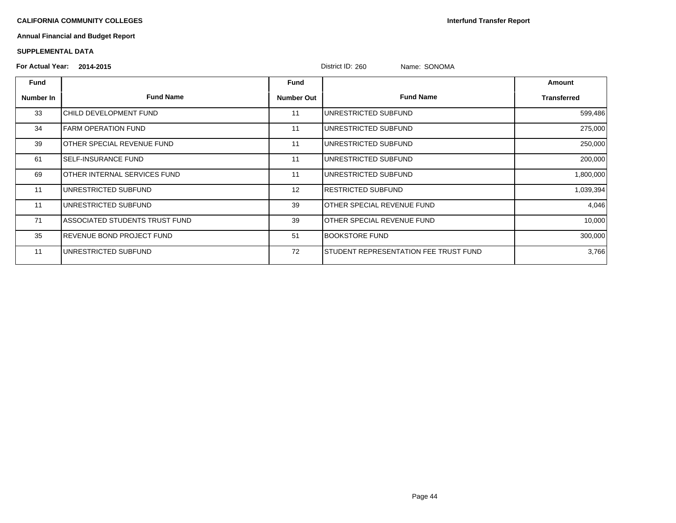**Interfund Transfer Report**

# **Annual Financial and Budget Report**

| <b>For Actual Year:</b> | 2014-2015                      |                   | District ID: 260<br>Name: SONOMA      |             |
|-------------------------|--------------------------------|-------------------|---------------------------------------|-------------|
| Fund                    |                                | Fund              |                                       | Amount      |
| Number In               | <b>Fund Name</b>               | <b>Number Out</b> | <b>Fund Name</b>                      | Transferred |
| 33                      | CHILD DEVELOPMENT FUND         | 11                | UNRESTRICTED SUBFUND                  | 599,486     |
| 34                      | <b>FARM OPERATION FUND</b>     | 11                | UNRESTRICTED SUBFUND                  | 275,000     |
| 39                      | IOTHER SPECIAL REVENUE FUND    | 11                | UNRESTRICTED SUBFUND                  | 250,000     |
| 61                      | SELF-INSURANCE FUND            | 11                | UNRESTRICTED SUBFUND                  | 200,000     |
| 69                      | OTHER INTERNAL SERVICES FUND   | 11                | UNRESTRICTED SUBFUND                  | 1,800,000   |
| 11                      | UNRESTRICTED SUBFUND           | 12                | RESTRICTED SUBFUND                    | 1,039,394   |
| 11                      | UNRESTRICTED SUBFUND           | 39                | IOTHER SPECIAL REVENUE FUND           | 4,046       |
| 71                      | ASSOCIATED STUDENTS TRUST FUND | 39                | IOTHER SPECIAL REVENUE FUND           | 10,000      |
| 35                      | IREVENUE BOND PROJECT FUND     | 51                | <b>BOOKSTORE FUND</b>                 | 300,000     |
| 11                      | UNRESTRICTED SUBFUND           | 72                | STUDENT REPRESENTATION FEE TRUST FUND | 3,766       |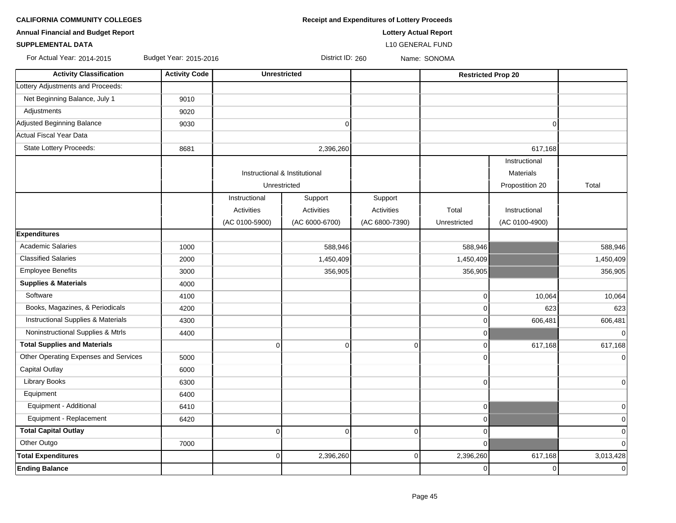| <b>Annual Financial and Budget Report</b> | <b>Lottery Actual Report</b> |                |                               |                |                           |                 |                |
|-------------------------------------------|------------------------------|----------------|-------------------------------|----------------|---------------------------|-----------------|----------------|
| <b>SUPPLEMENTAL DATA</b>                  | L10 GENERAL FUND             |                |                               |                |                           |                 |                |
| For Actual Year: 2014-2015                | Budget Year: 2015-2016       |                | District ID: 260              |                | Name: SONOMA              |                 |                |
| <b>Activity Classification</b>            | <b>Activity Code</b>         |                | <b>Unrestricted</b>           |                | <b>Restricted Prop 20</b> |                 |                |
| Lottery Adjustments and Proceeds:         |                              |                |                               |                |                           |                 |                |
| Net Beginning Balance, July 1             | 9010                         |                |                               |                |                           |                 |                |
| Adjustments                               | 9020                         |                |                               |                |                           |                 |                |
| Adjusted Beginning Balance                | 9030                         |                | $\mathbf 0$                   |                |                           | $\overline{0}$  |                |
| Actual Fiscal Year Data                   |                              |                |                               |                |                           |                 |                |
| State Lottery Proceeds:                   | 8681                         |                | 2,396,260                     |                |                           | 617,168         |                |
|                                           |                              |                |                               |                |                           | Instructional   |                |
|                                           |                              |                | Instructional & Institutional |                |                           | Materials       |                |
|                                           |                              |                | Unrestricted                  |                |                           | Propostition 20 | Total          |
|                                           |                              | Instructional  | Support                       | Support        |                           |                 |                |
|                                           |                              | Activities     | Activities                    | Activities     | Total                     | Instructional   |                |
|                                           |                              | (AC 0100-5900) | (AC 6000-6700)                | (AC 6800-7390) | Unrestricted              | (AC 0100-4900)  |                |
| <b>Expenditures</b>                       |                              |                |                               |                |                           |                 |                |
| <b>Academic Salaries</b>                  | 1000                         |                | 588,946                       |                | 588,946                   |                 | 588,946        |
| <b>Classified Salaries</b>                | 2000                         |                | 1,450,409                     |                | 1,450,409                 |                 | 1,450,409      |
| <b>Employee Benefits</b>                  | 3000                         |                | 356,905                       |                | 356,905                   |                 | 356,905        |
| <b>Supplies &amp; Materials</b>           | 4000                         |                |                               |                |                           |                 |                |
| Software                                  | 4100                         |                |                               |                | $\mathbf 0$               | 10,064          | 10,064         |
| Books, Magazines, & Periodicals           | 4200                         |                |                               |                | $\mathbf 0$               | 623             | 623            |
| Instructional Supplies & Materials        | 4300                         |                |                               |                | $\mathbf 0$               | 606,481         | 606,481        |
| Noninstructional Supplies & Mtrls         | 4400                         |                |                               |                | $\mathbf 0$               |                 | $\overline{0}$ |
| <b>Total Supplies and Materials</b>       |                              | $\mathbf 0$    | $\overline{0}$                | $\mathbf 0$    | $\mathbf 0$               | 617,168         | 617,168        |
| Other Operating Expenses and Services     | 5000                         |                |                               |                | $\Omega$                  |                 | $\overline{0}$ |
| <b>Capital Outlay</b>                     | 6000                         |                |                               |                |                           |                 |                |
| Library Books                             | 6300                         |                |                               |                | $\mathbf 0$               |                 | $\overline{0}$ |
| Equipment                                 | 6400                         |                |                               |                |                           |                 |                |
| Equipment - Additional                    | 6410                         |                |                               |                | $\pmb{0}$                 |                 | $\overline{0}$ |
| Equipment - Replacement                   | 6420                         |                |                               |                | $\mathbf 0$               |                 | $\overline{0}$ |
| <b>Total Capital Outlay</b>               |                              | $\overline{0}$ | $\overline{0}$                | 0              | $\mathbf 0$               |                 | $\overline{0}$ |
| Other Outgo                               | 7000                         |                |                               |                | $\Omega$                  |                 | $\overline{0}$ |
| <b>Total Expenditures</b>                 |                              | $\overline{0}$ | 2,396,260                     | $\overline{0}$ | 2,396,260                 | 617,168         | 3,013,428      |
| <b>Ending Balance</b>                     |                              |                |                               |                | $\mathbf 0$               | $\overline{0}$  | $\overline{0}$ |

**CALIFORNIA COMMUNITY COLLEGES Receipt and Expenditures of Lottery Proceeds**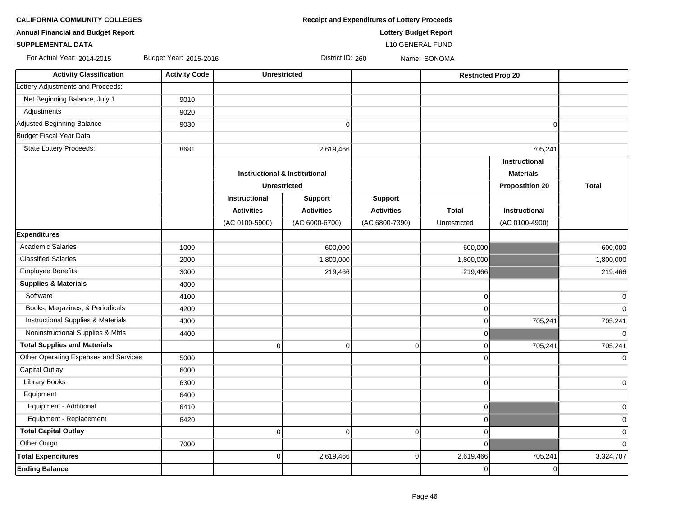| <b>Receipt and Expenditures of Lottery Proceeds</b> |
|-----------------------------------------------------|
|                                                     |

**Annual Financial and Budget Report Lottery Budget Report**

### **SUPPLEMENTAL DATA** L10 GENERAL FUND

For Actual Year: 2014-2015 Budget Year: 2015-2016 Product 10: 260 Name: SONOMA

| <b>Activity Classification</b>        | <b>Activity Code</b> | <b>Unrestricted</b>                      |                   |                   | <b>Restricted Prop 20</b> |                        |                |
|---------------------------------------|----------------------|------------------------------------------|-------------------|-------------------|---------------------------|------------------------|----------------|
| Lottery Adjustments and Proceeds:     |                      |                                          |                   |                   |                           |                        |                |
| Net Beginning Balance, July 1         | 9010                 |                                          |                   |                   |                           |                        |                |
| Adjustments                           | 9020                 |                                          |                   |                   |                           |                        |                |
| Adjusted Beginning Balance            | 9030                 |                                          | $\overline{0}$    |                   |                           | $\Omega$               |                |
| Budget Fiscal Year Data               |                      |                                          |                   |                   |                           |                        |                |
| State Lottery Proceeds:               | 8681                 |                                          | 2,619,466         |                   |                           | 705,241                |                |
|                                       |                      |                                          |                   |                   |                           | Instructional          |                |
|                                       |                      | <b>Instructional &amp; Institutional</b> |                   |                   |                           | <b>Materials</b>       |                |
|                                       |                      | <b>Unrestricted</b>                      |                   |                   |                           | <b>Propostition 20</b> | <b>Total</b>   |
|                                       |                      | Instructional                            | Support           | <b>Support</b>    |                           |                        |                |
|                                       |                      | <b>Activities</b>                        | <b>Activities</b> | <b>Activities</b> | <b>Total</b>              | Instructional          |                |
|                                       |                      | (AC 0100-5900)                           | (AC 6000-6700)    | (AC 6800-7390)    | Unrestricted              | (AC 0100-4900)         |                |
| <b>Expenditures</b>                   |                      |                                          |                   |                   |                           |                        |                |
| <b>Academic Salaries</b>              | 1000                 |                                          | 600,000           |                   | 600,000                   |                        | 600,000        |
| <b>Classified Salaries</b>            | 2000                 |                                          | 1,800,000         |                   | 1,800,000                 |                        | 1,800,000      |
| <b>Employee Benefits</b>              | 3000                 |                                          | 219,466           |                   | 219,466                   |                        | 219,466        |
| <b>Supplies &amp; Materials</b>       | 4000                 |                                          |                   |                   |                           |                        |                |
| Software                              | 4100                 |                                          |                   |                   | 0                         |                        | 0              |
| Books, Magazines, & Periodicals       | 4200                 |                                          |                   |                   | $\Omega$                  |                        | $\overline{0}$ |
| Instructional Supplies & Materials    | 4300                 |                                          |                   |                   | 0                         | 705,241                | 705,241        |
| Noninstructional Supplies & Mtrls     | 4400                 |                                          |                   |                   | 0                         |                        | $\overline{0}$ |
| <b>Total Supplies and Materials</b>   |                      | $\overline{0}$                           | $\overline{0}$    | $\Omega$          | $\Omega$                  | 705,241                | 705,241        |
| Other Operating Expenses and Services | 5000                 |                                          |                   |                   | $\Omega$                  |                        | $\Omega$       |
| <b>Capital Outlay</b>                 | 6000                 |                                          |                   |                   |                           |                        |                |
| <b>Library Books</b>                  | 6300                 |                                          |                   |                   | 0                         |                        | $\overline{0}$ |
| Equipment                             | 6400                 |                                          |                   |                   |                           |                        |                |
| Equipment - Additional                | 6410                 |                                          |                   |                   | $\overline{0}$            |                        | $\overline{0}$ |
| Equipment - Replacement               | 6420                 |                                          |                   |                   | 0                         |                        | $\mathbf 0$    |
| <b>Total Capital Outlay</b>           |                      | $\overline{0}$                           | $\overline{0}$    | $\Omega$          | $\Omega$                  |                        | $\mathbf 0$    |
| Other Outgo                           | 7000                 |                                          |                   |                   | $\overline{0}$            |                        | $\mathbf 0$    |
| <b>Total Expenditures</b>             |                      | $\overline{0}$                           | 2,619,466         | 0                 | 2,619,466                 | 705,241                | 3,324,707      |
| <b>Ending Balance</b>                 |                      |                                          |                   |                   | 0                         | 0                      |                |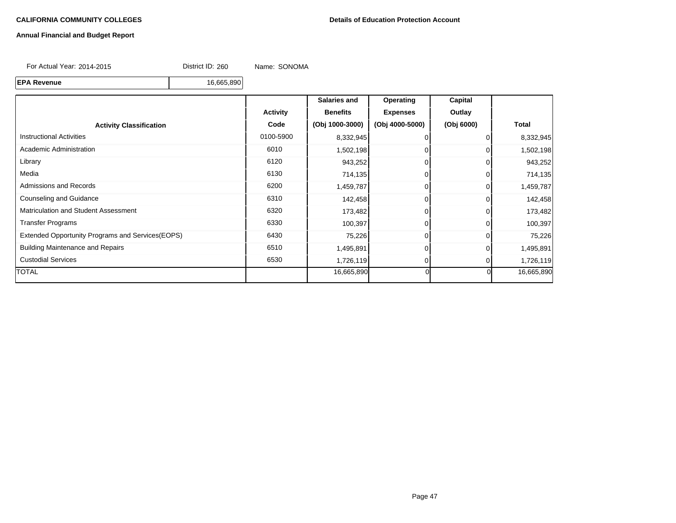# **Annual Financial and Budget Report**

For Actual Year: 2014-2015 District ID: 260 Name: SONOMA

**EPA Revenue** 16,665,890

|                                                  |                 | Salaries and    | Operating       | Capital    |              |
|--------------------------------------------------|-----------------|-----------------|-----------------|------------|--------------|
|                                                  | <b>Activity</b> | <b>Benefits</b> | <b>Expenses</b> | Outlay     |              |
| <b>Activity Classification</b>                   | Code            | (Obj 1000-3000) | (Obj 4000-5000) | (Obj 6000) | <b>Total</b> |
| <b>Instructional Activities</b>                  | 0100-5900       | 8,332,945       |                 |            | 8,332,945    |
| Academic Administration                          | 6010            | 1,502,198       |                 |            | 1,502,198    |
| Library                                          | 6120            | 943,252         |                 |            | 943,252      |
| Media                                            | 6130            | 714,135         |                 |            | 714,135      |
| Admissions and Records                           | 6200            | 1,459,787       |                 |            | 1,459,787    |
| <b>Counseling and Guidance</b>                   | 6310            | 142,458         |                 |            | 142,458      |
| <b>Matriculation and Student Assessment</b>      | 6320            | 173,482         |                 |            | 173,482      |
| <b>Transfer Programs</b>                         | 6330            | 100,397         |                 |            | 100,397      |
| Extended Opportunity Programs and Services(EOPS) | 6430            | 75,226          |                 |            | 75,226       |
| <b>Building Maintenance and Repairs</b>          | 6510            | 1,495,891       |                 |            | 1,495,891    |
| <b>Custodial Services</b>                        | 6530            | 1,726,119       |                 |            | 1,726,119    |
| <b>TOTAL</b>                                     |                 | 16,665,890      |                 | ΩI         | 16,665,890   |